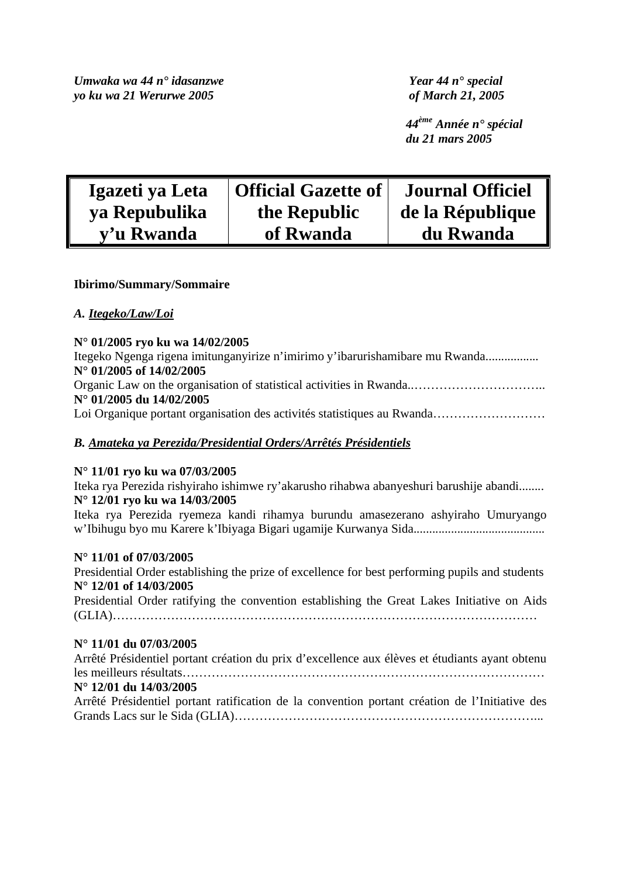*Umwaka wa 44 n° idasanzwe Year 44 n° special yo ku wa 21 Werurwe 2005 of March 21, 2005* 

*44ème Année n° spécial du 21 mars 2005* 

| Igazeti ya Leta | <b>Official Gazette of</b> | <b>Journal Officiel</b> |
|-----------------|----------------------------|-------------------------|
| ya Repubulika   | the Republic               | de la République        |
| v'u Rwanda      | of Rwanda                  | du Rwanda               |

## **Ibirimo/Summary/Sommaire**

## *A. Itegeko/Law/Loi*

## **N° 01/2005 ryo ku wa 14/02/2005**

Itegeko Ngenga rigena imitunganyirize n'imirimo y'ibarurishamibare mu Rwanda................. **N° 01/2005 of 14/02/2005**  Organic Law on the organisation of statistical activities in Rwanda..………………………….. **N° 01/2005 du 14/02/2005**  Loi Organique portant organisation des activités statistiques au Rwanda…………………………

# *B. Amateka ya Perezida/Presidential Orders/Arrêtés Présidentiels*

# **N° 11/01 ryo ku wa 07/03/2005**

Iteka rya Perezida rishyiraho ishimwe ry'akarusho rihabwa abanyeshuri barushije abandi........ **N° 12/01 ryo ku wa 14/03/2005** 

Iteka rya Perezida ryemeza kandi rihamya burundu amasezerano ashyiraho Umuryango w'Ibihugu byo mu Karere k'Ibiyaga Bigari ugamije Kurwanya Sida..........................................

## **N° 11/01 of 07/03/2005**

Presidential Order establishing the prize of excellence for best performing pupils and students **N° 12/01 of 14/03/2005** 

Presidential Order ratifying the convention establishing the Great Lakes Initiative on Aids (GLIA)…………………………………………………………………………………………

## **N° 11/01 du 07/03/2005**

Arrêté Présidentiel portant création du prix d'excellence aux élèves et étudiants ayant obtenu les meilleurs résultats…………………………………………………………………………… **N° 12/01 du 14/03/2005** 

# Arrêté Présidentiel portant ratification de la convention portant création de l'Initiative des Grands Lacs sur le Sida (GLIA)………………………………………………………………...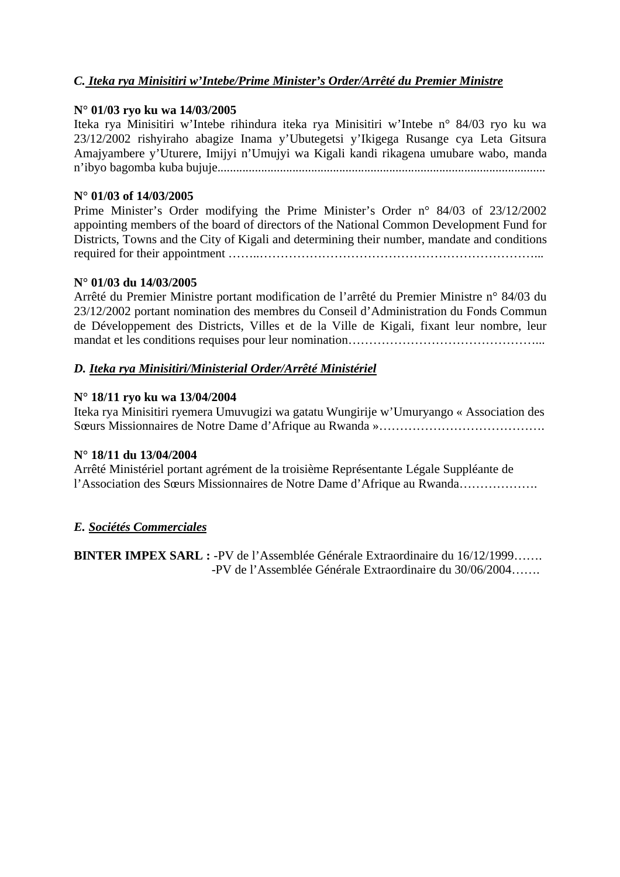# *C. Iteka rya Minisitiri w'Intebe/Prime Minister's Order/Arrêté du Premier Ministre*

## **N° 01/03 ryo ku wa 14/03/2005**

Iteka rya Minisitiri w'Intebe rihindura iteka rya Minisitiri w'Intebe n° 84/03 ryo ku wa 23/12/2002 rishyiraho abagize Inama y'Ubutegetsi y'Ikigega Rusange cya Leta Gitsura Amajyambere y'Uturere, Imijyi n'Umujyi wa Kigali kandi rikagena umubare wabo, manda n'ibyo bagomba kuba bujuje.........................................................................................................

## **N° 01/03 of 14/03/2005**

Prime Minister's Order modifying the Prime Minister's Order n° 84/03 of 23/12/2002 appointing members of the board of directors of the National Common Development Fund for Districts, Towns and the City of Kigali and determining their number, mandate and conditions required for their appointment ……..…………………………………………………………...

## **N° 01/03 du 14/03/2005**

Arrêté du Premier Ministre portant modification de l'arrêté du Premier Ministre n° 84/03 du 23/12/2002 portant nomination des membres du Conseil d'Administration du Fonds Commun de Développement des Districts, Villes et de la Ville de Kigali, fixant leur nombre, leur mandat et les conditions requises pour leur nomination……………………………………………………………………

# *D. Iteka rya Minisitiri/Ministerial Order/Arrêté Ministériel*

## **N° 18/11 ryo ku wa 13/04/2004**

Iteka rya Minisitiri ryemera Umuvugizi wa gatatu Wungirije w'Umuryango « Association des Sœurs Missionnaires de Notre Dame d'Afrique au Rwanda »………………………………….

## **N° 18/11 du 13/04/2004**

Arrêté Ministériel portant agrément de la troisième Représentante Légale Suppléante de l'Association des Sœurs Missionnaires de Notre Dame d'Afrique au Rwanda……………….

## *E. Sociétés Commerciales*

**BINTER IMPEX SARL :** -PV de l'Assemblée Générale Extraordinaire du 16/12/1999……. -PV de l'Assemblée Générale Extraordinaire du 30/06/2004…….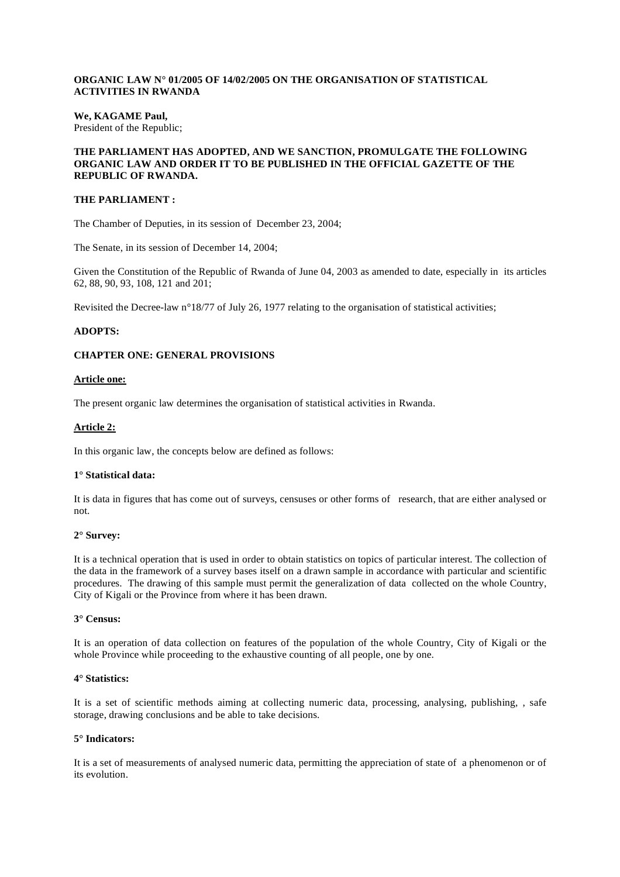## **ORGANIC LAW N° 01/2005 OF 14/02/2005 ON THE ORGANISATION OF STATISTICAL ACTIVITIES IN RWANDA**

#### **We, KAGAME Paul,**  President of the Republic;

#### **THE PARLIAMENT HAS ADOPTED, AND WE SANCTION, PROMULGATE THE FOLLOWING ORGANIC LAW AND ORDER IT TO BE PUBLISHED IN THE OFFICIAL GAZETTE OF THE REPUBLIC OF RWANDA.**

## **THE PARLIAMENT :**

The Chamber of Deputies, in its session of December 23, 2004;

The Senate, in its session of December 14, 2004;

Given the Constitution of the Republic of Rwanda of June 04, 2003 as amended to date, especially in its articles 62, 88, 90, 93, 108, 121 and 201;

Revisited the Decree-law n°18/77 of July 26, 1977 relating to the organisation of statistical activities;

## **ADOPTS:**

## **CHAPTER ONE: GENERAL PROVISIONS**

#### **Article one:**

The present organic law determines the organisation of statistical activities in Rwanda.

## **Article 2:**

In this organic law, the concepts below are defined as follows:

## **1° Statistical data:**

It is data in figures that has come out of surveys, censuses or other forms of research, that are either analysed or not.

## **2° Survey:**

It is a technical operation that is used in order to obtain statistics on topics of particular interest. The collection of the data in the framework of a survey bases itself on a drawn sample in accordance with particular and scientific procedures. The drawing of this sample must permit the generalization of data collected on the whole Country, City of Kigali or the Province from where it has been drawn.

#### **3° Census:**

It is an operation of data collection on features of the population of the whole Country, City of Kigali or the whole Province while proceeding to the exhaustive counting of all people, one by one.

## **4° Statistics:**

It is a set of scientific methods aiming at collecting numeric data, processing, analysing, publishing, , safe storage, drawing conclusions and be able to take decisions.

## **5° Indicators:**

It is a set of measurements of analysed numeric data, permitting the appreciation of state of a phenomenon or of its evolution.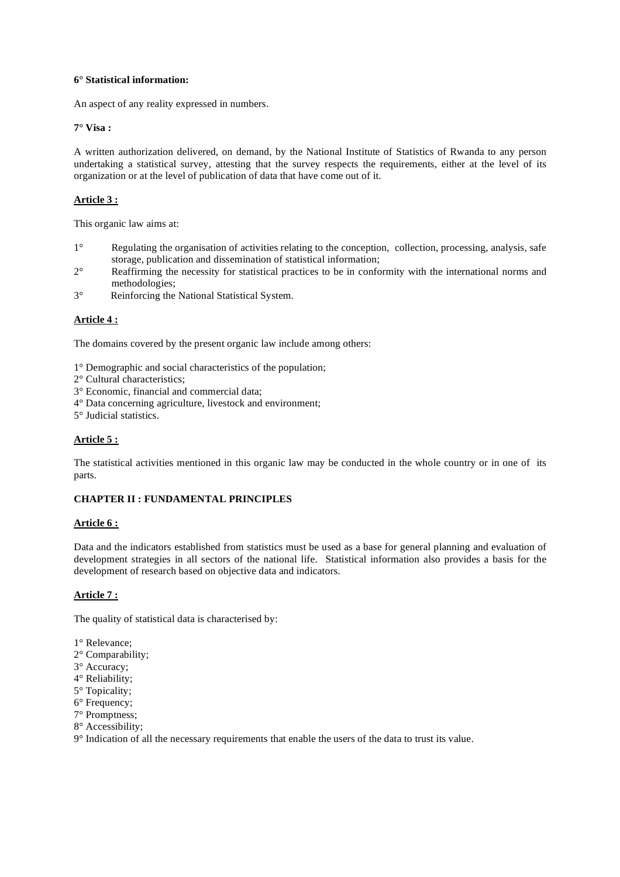## **6° Statistical information:**

An aspect of any reality expressed in numbers.

## **7° Visa :**

A written authorization delivered, on demand, by the National Institute of Statistics of Rwanda to any person undertaking a statistical survey, attesting that the survey respects the requirements, either at the level of its organization or at the level of publication of data that have come out of it.

## **Article 3 :**

This organic law aims at:

- 1° Regulating the organisation of activities relating to the conception, collection, processing, analysis, safe storage, publication and dissemination of statistical information;
- 2° Reaffirming the necessity for statistical practices to be in conformity with the international norms and methodologies;
- 3° Reinforcing the National Statistical System.

## **Article 4 :**

The domains covered by the present organic law include among others:

- 1° Demographic and social characteristics of the population;
- 2° Cultural characteristics;
- 3° Economic, financial and commercial data;
- 4° Data concerning agriculture, livestock and environment;
- 5° Judicial statistics.

## **Article 5 :**

The statistical activities mentioned in this organic law may be conducted in the whole country or in one of its parts.

## **CHAPTER II : FUNDAMENTAL PRINCIPLES**

## **Article 6 :**

Data and the indicators established from statistics must be used as a base for general planning and evaluation of development strategies in all sectors of the national life. Statistical information also provides a basis for the development of research based on objective data and indicators.

## **Article 7 :**

The quality of statistical data is characterised by:

- 1° Relevance;
- 2° Comparability;
- 3° Accuracy;
- 4° Reliability;
- 5° Topicality;
- 6° Frequency;
- 7° Promptness;
- 8° Accessibility;
- 9° Indication of all the necessary requirements that enable the users of the data to trust its value.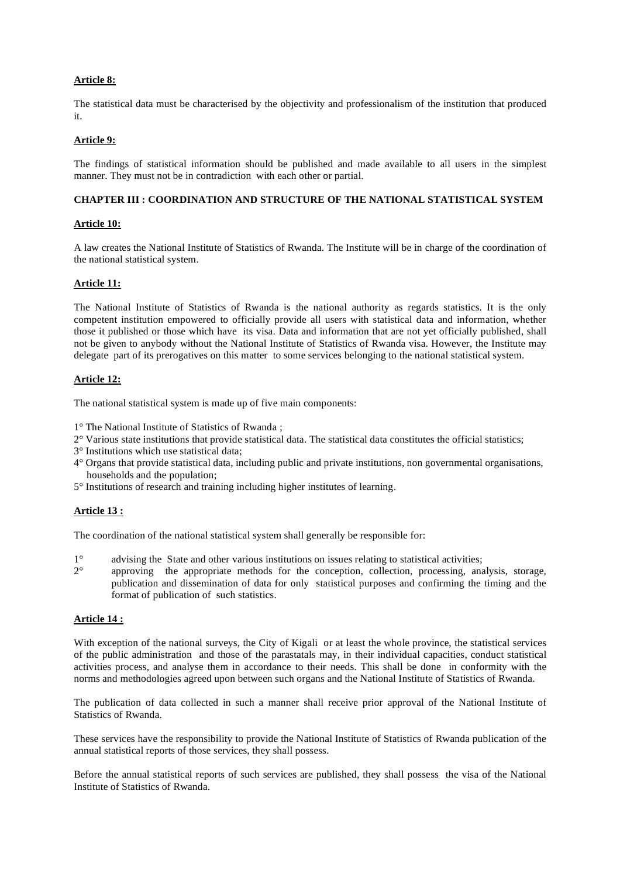## **Article 8:**

The statistical data must be characterised by the objectivity and professionalism of the institution that produced it.

## **Article 9:**

The findings of statistical information should be published and made available to all users in the simplest manner. They must not be in contradiction with each other or partial.

## **CHAPTER III : COORDINATION AND STRUCTURE OF THE NATIONAL STATISTICAL SYSTEM**

## **Article 10:**

A law creates the National Institute of Statistics of Rwanda. The Institute will be in charge of the coordination of the national statistical system.

## **Article 11:**

The National Institute of Statistics of Rwanda is the national authority as regards statistics. It is the only competent institution empowered to officially provide all users with statistical data and information, whether those it published or those which have its visa. Data and information that are not yet officially published, shall not be given to anybody without the National Institute of Statistics of Rwanda visa. However, the Institute may delegate part of its prerogatives on this matter to some services belonging to the national statistical system.

#### **Article 12:**

The national statistical system is made up of five main components:

1° The National Institute of Statistics of Rwanda ;

2° Various state institutions that provide statistical data. The statistical data constitutes the official statistics;

- 3° Institutions which use statistical data;
- 4° Organs that provide statistical data, including public and private institutions, non governmental organisations, households and the population;
- 5° Institutions of research and training including higher institutes of learning.

## **Article 13 :**

The coordination of the national statistical system shall generally be responsible for:

- 1° advising the State and other various institutions on issues relating to statistical activities;
- 2° approving the appropriate methods for the conception, collection, processing, analysis, storage, publication and dissemination of data for only statistical purposes and confirming the timing and the format of publication of such statistics.

## **Article 14 :**

With exception of the national surveys, the City of Kigali or at least the whole province, the statistical services of the public administration and those of the parastatals may, in their individual capacities, conduct statistical activities process, and analyse them in accordance to their needs. This shall be done in conformity with the norms and methodologies agreed upon between such organs and the National Institute of Statistics of Rwanda.

The publication of data collected in such a manner shall receive prior approval of the National Institute of Statistics of Rwanda.

These services have the responsibility to provide the National Institute of Statistics of Rwanda publication of the annual statistical reports of those services, they shall possess.

Before the annual statistical reports of such services are published, they shall possess the visa of the National Institute of Statistics of Rwanda.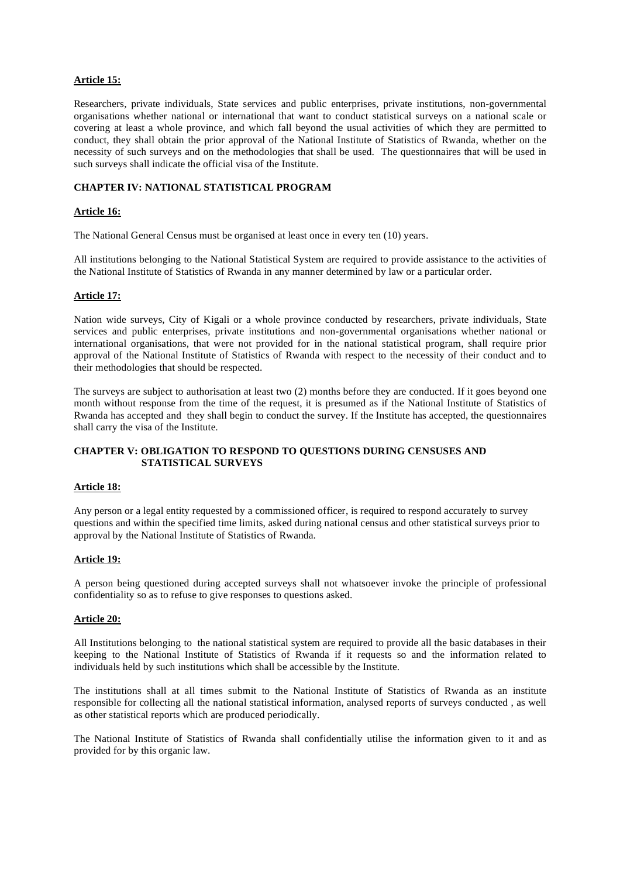## **Article 15:**

Researchers, private individuals, State services and public enterprises, private institutions, non-governmental organisations whether national or international that want to conduct statistical surveys on a national scale or covering at least a whole province, and which fall beyond the usual activities of which they are permitted to conduct, they shall obtain the prior approval of the National Institute of Statistics of Rwanda, whether on the necessity of such surveys and on the methodologies that shall be used. The questionnaires that will be used in such surveys shall indicate the official visa of the Institute.

## **CHAPTER IV: NATIONAL STATISTICAL PROGRAM**

## **Article 16:**

The National General Census must be organised at least once in every ten (10) years.

All institutions belonging to the National Statistical System are required to provide assistance to the activities of the National Institute of Statistics of Rwanda in any manner determined by law or a particular order.

#### **Article 17:**

Nation wide surveys, City of Kigali or a whole province conducted by researchers, private individuals, State services and public enterprises, private institutions and non-governmental organisations whether national or international organisations, that were not provided for in the national statistical program, shall require prior approval of the National Institute of Statistics of Rwanda with respect to the necessity of their conduct and to their methodologies that should be respected.

The surveys are subject to authorisation at least two (2) months before they are conducted. If it goes beyond one month without response from the time of the request, it is presumed as if the National Institute of Statistics of Rwanda has accepted and they shall begin to conduct the survey. If the Institute has accepted, the questionnaires shall carry the visa of the Institute.

## **CHAPTER V: OBLIGATION TO RESPOND TO QUESTIONS DURING CENSUSES AND STATISTICAL SURVEYS**

#### **Article 18:**

Any person or a legal entity requested by a commissioned officer, is required to respond accurately to survey questions and within the specified time limits, asked during national census and other statistical surveys prior to approval by the National Institute of Statistics of Rwanda.

#### **Article 19:**

A person being questioned during accepted surveys shall not whatsoever invoke the principle of professional confidentiality so as to refuse to give responses to questions asked.

#### **Article 20:**

All Institutions belonging to the national statistical system are required to provide all the basic databases in their keeping to the National Institute of Statistics of Rwanda if it requests so and the information related to individuals held by such institutions which shall be accessible by the Institute.

The institutions shall at all times submit to the National Institute of Statistics of Rwanda as an institute responsible for collecting all the national statistical information, analysed reports of surveys conducted , as well as other statistical reports which are produced periodically.

The National Institute of Statistics of Rwanda shall confidentially utilise the information given to it and as provided for by this organic law.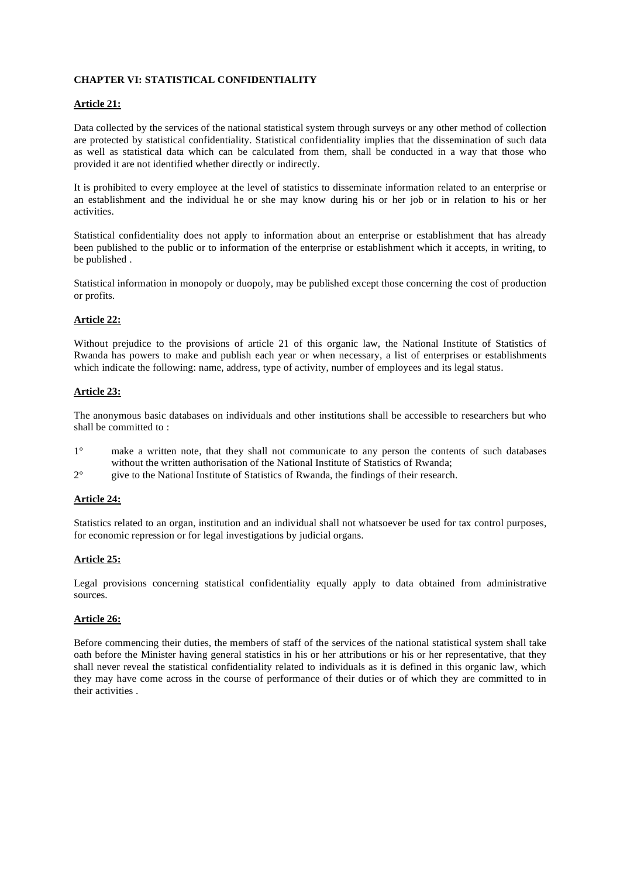## **CHAPTER VI: STATISTICAL CONFIDENTIALITY**

## **Article 21:**

Data collected by the services of the national statistical system through surveys or any other method of collection are protected by statistical confidentiality. Statistical confidentiality implies that the dissemination of such data as well as statistical data which can be calculated from them, shall be conducted in a way that those who provided it are not identified whether directly or indirectly.

It is prohibited to every employee at the level of statistics to disseminate information related to an enterprise or an establishment and the individual he or she may know during his or her job or in relation to his or her activities.

Statistical confidentiality does not apply to information about an enterprise or establishment that has already been published to the public or to information of the enterprise or establishment which it accepts, in writing, to be published .

Statistical information in monopoly or duopoly, may be published except those concerning the cost of production or profits.

## **Article 22:**

Without prejudice to the provisions of article 21 of this organic law, the National Institute of Statistics of Rwanda has powers to make and publish each year or when necessary, a list of enterprises or establishments which indicate the following: name, address, type of activity, number of employees and its legal status.

## **Article 23:**

The anonymous basic databases on individuals and other institutions shall be accessible to researchers but who shall be committed to :

- 1° make a written note, that they shall not communicate to any person the contents of such databases without the written authorisation of the National Institute of Statistics of Rwanda;
- 2° give to the National Institute of Statistics of Rwanda, the findings of their research.

## **Article 24:**

Statistics related to an organ, institution and an individual shall not whatsoever be used for tax control purposes, for economic repression or for legal investigations by judicial organs.

## **Article 25:**

Legal provisions concerning statistical confidentiality equally apply to data obtained from administrative sources.

## **Article 26:**

Before commencing their duties, the members of staff of the services of the national statistical system shall take oath before the Minister having general statistics in his or her attributions or his or her representative, that they shall never reveal the statistical confidentiality related to individuals as it is defined in this organic law, which they may have come across in the course of performance of their duties or of which they are committed to in their activities .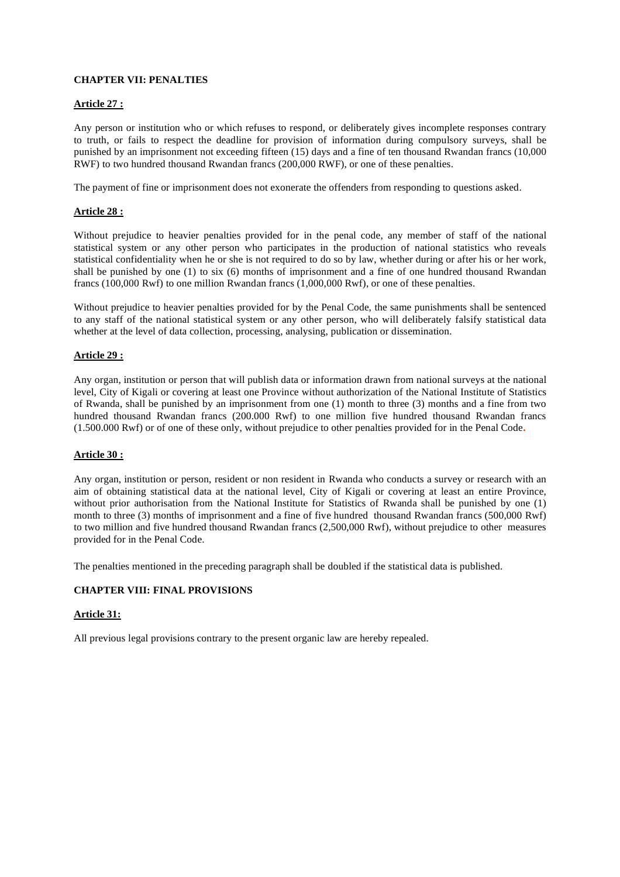## **CHAPTER VII: PENALTIES**

## **Article 27 :**

Any person or institution who or which refuses to respond, or deliberately gives incomplete responses contrary to truth, or fails to respect the deadline for provision of information during compulsory surveys, shall be punished by an imprisonment not exceeding fifteen (15) days and a fine of ten thousand Rwandan francs (10,000 RWF) to two hundred thousand Rwandan francs (200,000 RWF), or one of these penalties.

The payment of fine or imprisonment does not exonerate the offenders from responding to questions asked.

## **Article 28 :**

Without prejudice to heavier penalties provided for in the penal code, any member of staff of the national statistical system or any other person who participates in the production of national statistics who reveals statistical confidentiality when he or she is not required to do so by law, whether during or after his or her work, shall be punished by one (1) to six (6) months of imprisonment and a fine of one hundred thousand Rwandan francs (100,000 Rwf) to one million Rwandan francs (1,000,000 Rwf), or one of these penalties.

Without prejudice to heavier penalties provided for by the Penal Code, the same punishments shall be sentenced to any staff of the national statistical system or any other person, who will deliberately falsify statistical data whether at the level of data collection, processing, analysing, publication or dissemination.

## **Article 29 :**

Any organ, institution or person that will publish data or information drawn from national surveys at the national level, City of Kigali or covering at least one Province without authorization of the National Institute of Statistics of Rwanda, shall be punished by an imprisonment from one (1) month to three (3) months and a fine from two hundred thousand Rwandan francs (200.000 Rwf) to one million five hundred thousand Rwandan francs (1.500.000 Rwf) or of one of these only, without prejudice to other penalties provided for in the Penal Code**.** 

## **Article 30 :**

Any organ, institution or person, resident or non resident in Rwanda who conducts a survey or research with an aim of obtaining statistical data at the national level, City of Kigali or covering at least an entire Province, without prior authorisation from the National Institute for Statistics of Rwanda shall be punished by one (1) month to three (3) months of imprisonment and a fine of five hundred thousand Rwandan francs (500,000 Rwf) to two million and five hundred thousand Rwandan francs (2,500,000 Rwf), without prejudice to other measures provided for in the Penal Code.

The penalties mentioned in the preceding paragraph shall be doubled if the statistical data is published.

## **CHAPTER VIII: FINAL PROVISIONS**

## **Article 31:**

All previous legal provisions contrary to the present organic law are hereby repealed.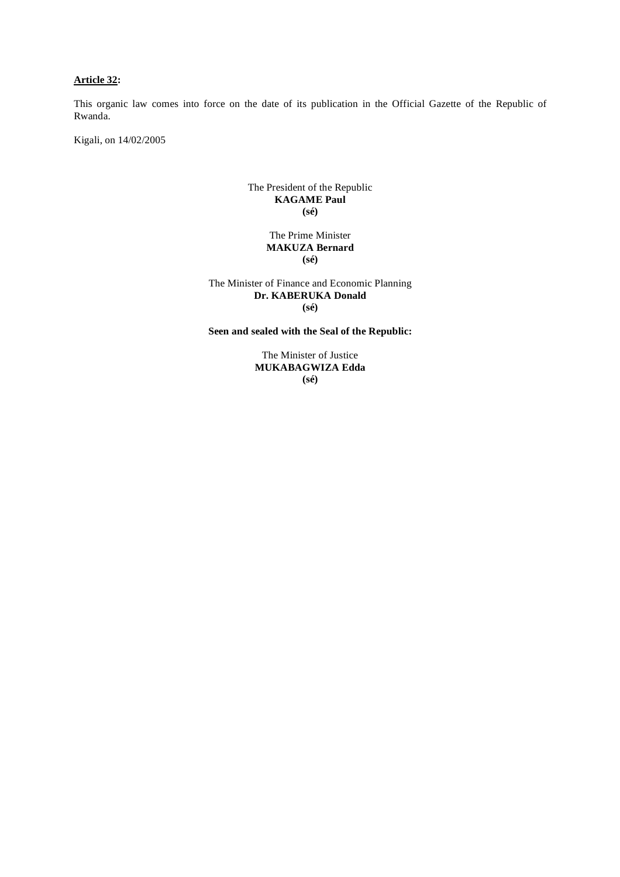## **Article 32:**

This organic law comes into force on the date of its publication in the Official Gazette of the Republic of Rwanda.

Kigali, on 14/02/2005

### The President of the Republic **KAGAME Paul (sé)**

#### The Prime Minister **MAKUZA Bernard (sé)**

The Minister of Finance and Economic Planning **Dr. KABERUKA Donald (sé)** 

**Seen and sealed with the Seal of the Republic:** 

The Minister of Justice **MUKABAGWIZA Edda (sé)**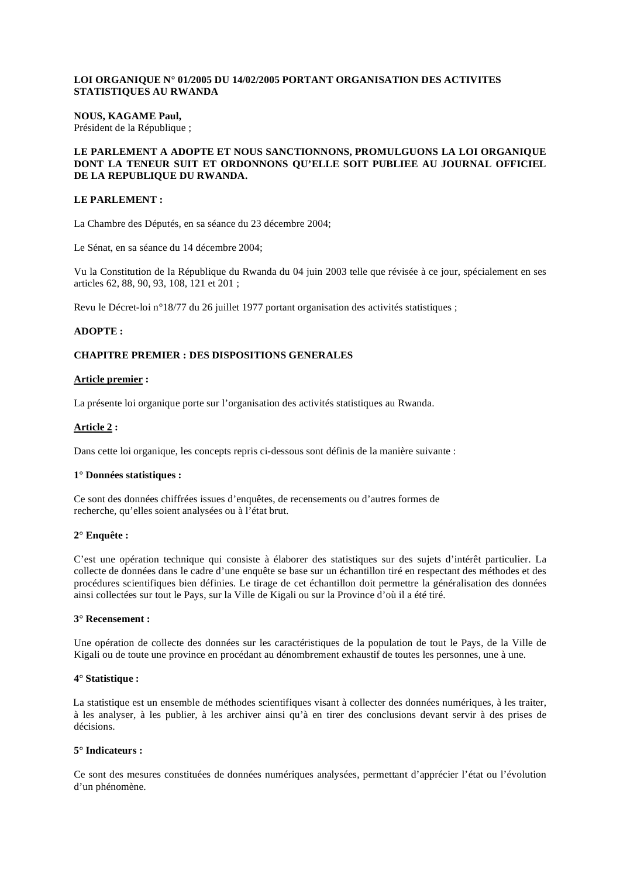#### **LOI ORGANIQUE N° 01/2005 DU 14/02/2005 PORTANT ORGANISATION DES ACTIVITES STATISTIQUES AU RWANDA**

#### **NOUS, KAGAME Paul,**  Président de la République ;

## **LE PARLEMENT A ADOPTE ET NOUS SANCTIONNONS, PROMULGUONS LA LOI ORGANIQUE DONT LA TENEUR SUIT ET ORDONNONS QU'ELLE SOIT PUBLIEE AU JOURNAL OFFICIEL DE LA REPUBLIQUE DU RWANDA.**

## **LE PARLEMENT :**

La Chambre des Députés, en sa séance du 23 décembre 2004;

Le Sénat, en sa séance du 14 décembre 2004;

Vu la Constitution de la République du Rwanda du 04 juin 2003 telle que révisée à ce jour, spécialement en ses articles 62, 88, 90, 93, 108, 121 et 201 ;

Revu le Décret-loi n°18/77 du 26 juillet 1977 portant organisation des activités statistiques ;

## **ADOPTE :**

## **CHAPITRE PREMIER : DES DISPOSITIONS GENERALES**

#### **Article premier :**

La présente loi organique porte sur l'organisation des activités statistiques au Rwanda.

## **Article 2 :**

Dans cette loi organique, les concepts repris ci-dessous sont définis de la manière suivante :

#### **1° Données statistiques :**

Ce sont des données chiffrées issues d'enquêtes, de recensements ou d'autres formes de recherche, qu'elles soient analysées ou à l'état brut.

## **2° Enquête :**

C'est une opération technique qui consiste à élaborer des statistiques sur des sujets d'intérêt particulier. La collecte de données dans le cadre d'une enquête se base sur un échantillon tiré en respectant des méthodes et des procédures scientifiques bien définies. Le tirage de cet échantillon doit permettre la généralisation des données ainsi collectées sur tout le Pays, sur la Ville de Kigali ou sur la Province d'où il a été tiré.

#### **3° Recensement :**

Une opération de collecte des données sur les caractéristiques de la population de tout le Pays, de la Ville de Kigali ou de toute une province en procédant au dénombrement exhaustif de toutes les personnes, une à une.

## **4° Statistique :**

 La statistique est un ensemble de méthodes scientifiques visant à collecter des données numériques, à les traiter, à les analyser, à les publier, à les archiver ainsi qu'à en tirer des conclusions devant servir à des prises de décisions.

#### **5° Indicateurs :**

Ce sont des mesures constituées de données numériques analysées, permettant d'apprécier l'état ou l'évolution d'un phénomène.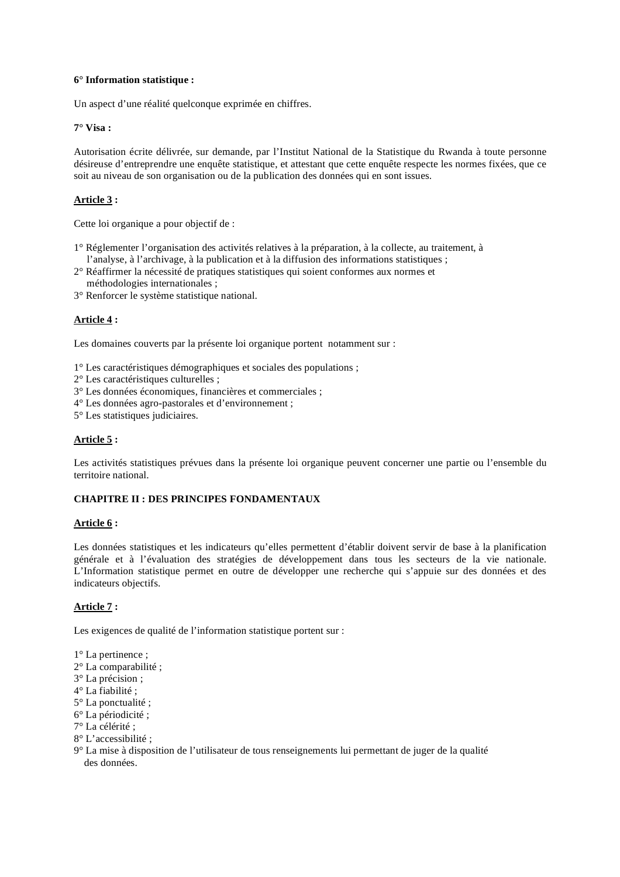## **6° Information statistique :**

Un aspect d'une réalité quelconque exprimée en chiffres.

## **7° Visa :**

Autorisation écrite délivrée, sur demande, par l'Institut National de la Statistique du Rwanda à toute personne désireuse d'entreprendre une enquête statistique, et attestant que cette enquête respecte les normes fixées, que ce soit au niveau de son organisation ou de la publication des données qui en sont issues.

## **Article 3 :**

Cette loi organique a pour objectif de :

- 1° Réglementer l'organisation des activités relatives à la préparation, à la collecte, au traitement, à l'analyse, à l'archivage, à la publication et à la diffusion des informations statistiques ;
- 2° Réaffirmer la nécessité de pratiques statistiques qui soient conformes aux normes et méthodologies internationales ;
- 3° Renforcer le système statistique national.

## **Article 4 :**

Les domaines couverts par la présente loi organique portent notamment sur :

1° Les caractéristiques démographiques et sociales des populations ;

- 2° Les caractéristiques culturelles ;
- 3° Les données économiques, financières et commerciales ;
- 4° Les données agro-pastorales et d'environnement ;
- 5° Les statistiques judiciaires.

#### **Article 5 :**

Les activités statistiques prévues dans la présente loi organique peuvent concerner une partie ou l'ensemble du territoire national.

## **CHAPITRE II : DES PRINCIPES FONDAMENTAUX**

#### **Article 6 :**

Les données statistiques et les indicateurs qu'elles permettent d'établir doivent servir de base à la planification générale et à l'évaluation des stratégies de développement dans tous les secteurs de la vie nationale. L'Information statistique permet en outre de développer une recherche qui s'appuie sur des données et des indicateurs objectifs.

## **Article 7 :**

Les exigences de qualité de l'information statistique portent sur :

- 1° La pertinence ;
- 2° La comparabilité ;
- 3° La précision ;
- 4° La fiabilité ;
- 5° La ponctualité ;
- 6° La périodicité ;
- 7° La célérité ;
- 8° L'accessibilité ;
- 9° La mise à disposition de l'utilisateur de tous renseignements lui permettant de juger de la qualité des données.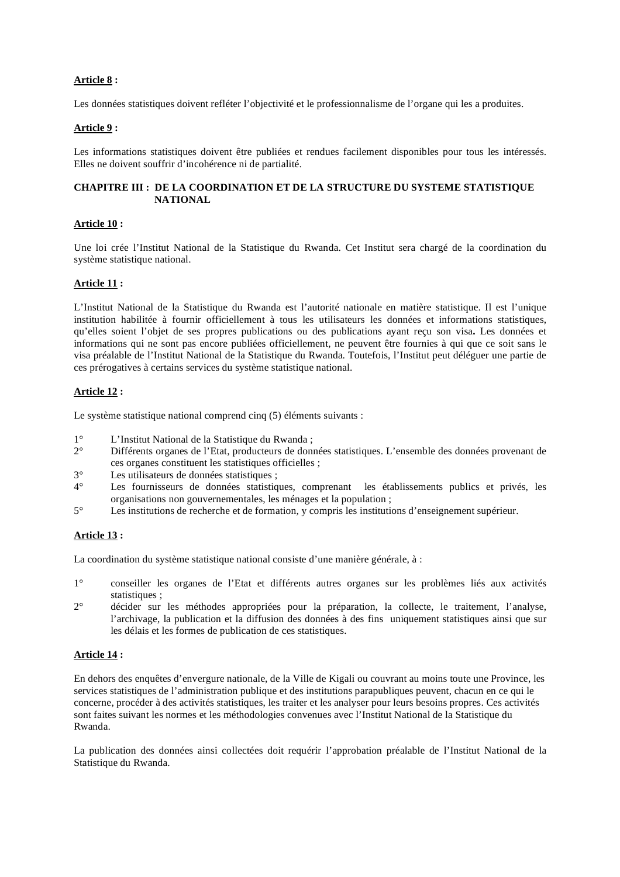## **Article 8 :**

Les données statistiques doivent refléter l'objectivité et le professionnalisme de l'organe qui les a produites.

## **Article 9 :**

Les informations statistiques doivent être publiées et rendues facilement disponibles pour tous les intéressés. Elles ne doivent souffrir d'incohérence ni de partialité.

## **CHAPITRE III : DE LA COORDINATION ET DE LA STRUCTURE DU SYSTEME STATISTIQUE NATIONAL**

## **Article 10 :**

Une loi crée l'Institut National de la Statistique du Rwanda. Cet Institut sera chargé de la coordination du système statistique national.

## **Article 11 :**

L'Institut National de la Statistique du Rwanda est l'autorité nationale en matière statistique. Il est l'unique institution habilitée à fournir officiellement à tous les utilisateurs les données et informations statistiques, qu'elles soient l'objet de ses propres publications ou des publications ayant reçu son visa**.** Les données et informations qui ne sont pas encore publiées officiellement, ne peuvent être fournies à qui que ce soit sans le visa préalable de l'Institut National de la Statistique du Rwanda. Toutefois, l'Institut peut déléguer une partie de ces prérogatives à certains services du système statistique national.

## **Article 12 :**

Le système statistique national comprend cinq (5) éléments suivants :

- 1° L'Institut National de la Statistique du Rwanda ;<br>2° Différents organes de l'Etat, producteurs de doni
- 2° Différents organes de l'Etat, producteurs de données statistiques. L'ensemble des données provenant de ces organes constituent les statistiques officielles ;
- 3° Les utilisateurs de données statistiques ;<br>4° Les fournisseurs de données statistiques
- Les fournisseurs de données statistiques, comprenant les établissements publics et privés, les organisations non gouvernementales, les ménages et la population ;
- 5° Les institutions de recherche et de formation, y compris les institutions d'enseignement supérieur.

## **Article 13 :**

La coordination du système statistique national consiste d'une manière générale, à :

- 1° conseiller les organes de l'Etat et différents autres organes sur les problèmes liés aux activités statistiques ;
- 2° décider sur les méthodes appropriées pour la préparation, la collecte, le traitement, l'analyse, l'archivage, la publication et la diffusion des données à des fins uniquement statistiques ainsi que sur les délais et les formes de publication de ces statistiques.

## **Article 14 :**

En dehors des enquêtes d'envergure nationale, de la Ville de Kigali ou couvrant au moins toute une Province, les services statistiques de l'administration publique et des institutions parapubliques peuvent, chacun en ce qui le concerne, procéder à des activités statistiques, les traiter et les analyser pour leurs besoins propres. Ces activités sont faites suivant les normes et les méthodologies convenues avec l'Institut National de la Statistique du Rwanda.

La publication des données ainsi collectées doit requérir l'approbation préalable de l'Institut National de la Statistique du Rwanda.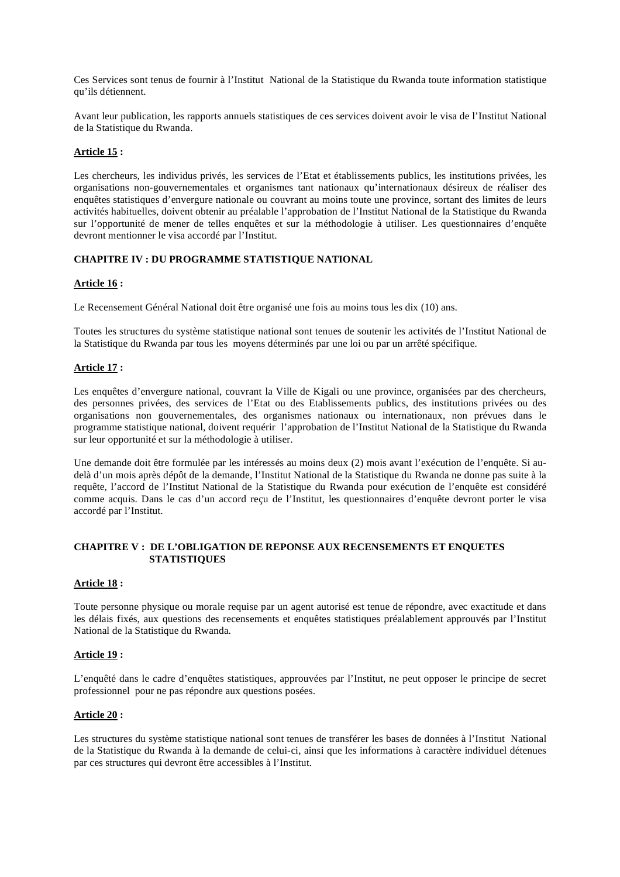Ces Services sont tenus de fournir à l'Institut National de la Statistique du Rwanda toute information statistique qu'ils détiennent.

Avant leur publication, les rapports annuels statistiques de ces services doivent avoir le visa de l'Institut National de la Statistique du Rwanda.

#### **Article 15 :**

Les chercheurs, les individus privés, les services de l'Etat et établissements publics, les institutions privées, les organisations non-gouvernementales et organismes tant nationaux qu'internationaux désireux de réaliser des enquêtes statistiques d'envergure nationale ou couvrant au moins toute une province, sortant des limites de leurs activités habituelles, doivent obtenir au préalable l'approbation de l'Institut National de la Statistique du Rwanda sur l'opportunité de mener de telles enquêtes et sur la méthodologie à utiliser. Les questionnaires d'enquête devront mentionner le visa accordé par l'Institut.

#### **CHAPITRE IV : DU PROGRAMME STATISTIQUE NATIONAL**

#### **Article 16 :**

Le Recensement Général National doit être organisé une fois au moins tous les dix (10) ans.

Toutes les structures du système statistique national sont tenues de soutenir les activités de l'Institut National de la Statistique du Rwanda par tous les moyens déterminés par une loi ou par un arrêté spécifique.

#### **Article 17 :**

Les enquêtes d'envergure national, couvrant la Ville de Kigali ou une province, organisées par des chercheurs, des personnes privées, des services de l'Etat ou des Etablissements publics, des institutions privées ou des organisations non gouvernementales, des organismes nationaux ou internationaux, non prévues dans le programme statistique national, doivent requérir l'approbation de l'Institut National de la Statistique du Rwanda sur leur opportunité et sur la méthodologie à utiliser.

Une demande doit être formulée par les intéressés au moins deux (2) mois avant l'exécution de l'enquête. Si audelà d'un mois après dépôt de la demande, l'Institut National de la Statistique du Rwanda ne donne pas suite à la requête, l'accord de l'Institut National de la Statistique du Rwanda pour exécution de l'enquête est considéré comme acquis. Dans le cas d'un accord reçu de l'Institut, les questionnaires d'enquête devront porter le visa accordé par l'Institut.

## **CHAPITRE V : DE L'OBLIGATION DE REPONSE AUX RECENSEMENTS ET ENQUETES STATISTIQUES**

#### **Article 18 :**

Toute personne physique ou morale requise par un agent autorisé est tenue de répondre, avec exactitude et dans les délais fixés, aux questions des recensements et enquêtes statistiques préalablement approuvés par l'Institut National de la Statistique du Rwanda.

#### **Article 19 :**

L'enquêté dans le cadre d'enquêtes statistiques, approuvées par l'Institut, ne peut opposer le principe de secret professionnel pour ne pas répondre aux questions posées.

#### **Article 20 :**

Les structures du système statistique national sont tenues de transférer les bases de données à l'Institut National de la Statistique du Rwanda à la demande de celui-ci, ainsi que les informations à caractère individuel détenues par ces structures qui devront être accessibles à l'Institut.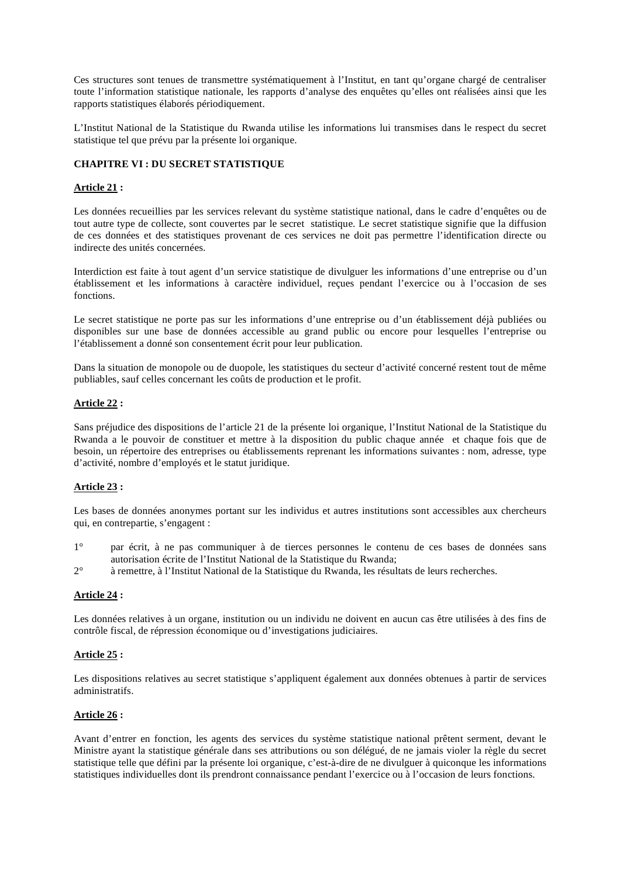Ces structures sont tenues de transmettre systématiquement à l'Institut, en tant qu'organe chargé de centraliser toute l'information statistique nationale, les rapports d'analyse des enquêtes qu'elles ont réalisées ainsi que les rapports statistiques élaborés périodiquement.

L'Institut National de la Statistique du Rwanda utilise les informations lui transmises dans le respect du secret statistique tel que prévu par la présente loi organique.

## **CHAPITRE VI : DU SECRET STATISTIQUE**

## **Article 21 :**

Les données recueillies par les services relevant du système statistique national, dans le cadre d'enquêtes ou de tout autre type de collecte, sont couvertes par le secret statistique. Le secret statistique signifie que la diffusion de ces données et des statistiques provenant de ces services ne doit pas permettre l'identification directe ou indirecte des unités concernées.

Interdiction est faite à tout agent d'un service statistique de divulguer les informations d'une entreprise ou d'un établissement et les informations à caractère individuel, reçues pendant l'exercice ou à l'occasion de ses fonctions.

Le secret statistique ne porte pas sur les informations d'une entreprise ou d'un établissement déjà publiées ou disponibles sur une base de données accessible au grand public ou encore pour lesquelles l'entreprise ou l'établissement a donné son consentement écrit pour leur publication.

Dans la situation de monopole ou de duopole, les statistiques du secteur d'activité concerné restent tout de même publiables, sauf celles concernant les coûts de production et le profit.

## **Article 22 :**

Sans préjudice des dispositions de l'article 21 de la présente loi organique, l'Institut National de la Statistique du Rwanda a le pouvoir de constituer et mettre à la disposition du public chaque année et chaque fois que de besoin, un répertoire des entreprises ou établissements reprenant les informations suivantes : nom, adresse, type d'activité, nombre d'employés et le statut juridique.

## **Article 23 :**

Les bases de données anonymes portant sur les individus et autres institutions sont accessibles aux chercheurs qui, en contrepartie, s'engagent :

- 1° par écrit, à ne pas communiquer à de tierces personnes le contenu de ces bases de données sans autorisation écrite de l'Institut National de la Statistique du Rwanda;
- 2° à remettre, à l'Institut National de la Statistique du Rwanda, les résultats de leurs recherches.

## **Article 24 :**

Les données relatives à un organe, institution ou un individu ne doivent en aucun cas être utilisées à des fins de contrôle fiscal, de répression économique ou d'investigations judiciaires.

## **Article 25 :**

Les dispositions relatives au secret statistique s'appliquent également aux données obtenues à partir de services administratifs.

## **Article 26 :**

Avant d'entrer en fonction, les agents des services du système statistique national prêtent serment, devant le Ministre ayant la statistique générale dans ses attributions ou son délégué, de ne jamais violer la règle du secret statistique telle que défini par la présente loi organique, c'est-à-dire de ne divulguer à quiconque les informations statistiques individuelles dont ils prendront connaissance pendant l'exercice ou à l'occasion de leurs fonctions.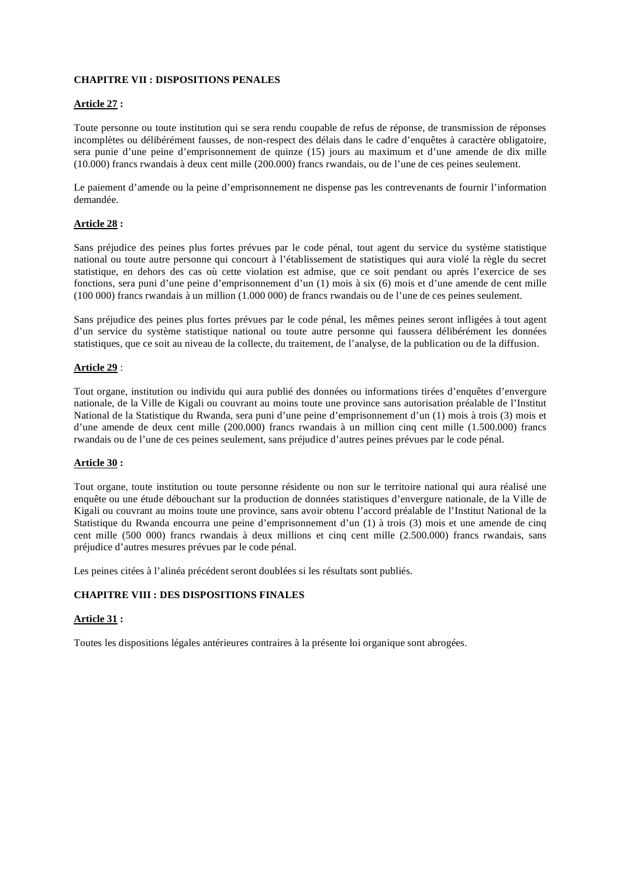## **CHAPITRE VII : DISPOSITIONS PENALES**

## **Article 27 :**

Toute personne ou toute institution qui se sera rendu coupable de refus de réponse, de transmission de réponses incomplètes ou délibérément fausses, de non-respect des délais dans le cadre d'enquêtes à caractère obligatoire, sera punie d'une peine d'emprisonnement de quinze (15) jours au maximum et d'une amende de dix mille (10.000) francs rwandais à deux cent mille (200.000) francs rwandais, ou de l'une de ces peines seulement.

Le paiement d'amende ou la peine d'emprisonnement ne dispense pas les contrevenants de fournir l'information demandée.

## **Article 28 :**

Sans préjudice des peines plus fortes prévues par le code pénal, tout agent du service du système statistique national ou toute autre personne qui concourt à l'établissement de statistiques qui aura violé la règle du secret statistique, en dehors des cas où cette violation est admise, que ce soit pendant ou après l'exercice de ses fonctions, sera puni d'une peine d'emprisonnement d'un (1) mois à six (6) mois et d'une amende de cent mille (100 000) francs rwandais à un million (1.000 000) de francs rwandais ou de l'une de ces peines seulement.

Sans préjudice des peines plus fortes prévues par le code pénal, les mêmes peines seront infligées à tout agent d'un service du système statistique national ou toute autre personne qui faussera délibérément les données statistiques, que ce soit au niveau de la collecte, du traitement, de l'analyse, de la publication ou de la diffusion.

## **Article 29** :

Tout organe, institution ou individu qui aura publié des données ou informations tirées d'enquêtes d'envergure nationale, de la Ville de Kigali ou couvrant au moins toute une province sans autorisation préalable de l'Institut National de la Statistique du Rwanda, sera puni d'une peine d'emprisonnement d'un (1) mois à trois (3) mois et d'une amende de deux cent mille (200.000) francs rwandais à un million cinq cent mille (1.500.000) francs rwandais ou de l'une de ces peines seulement, sans préjudice d'autres peines prévues par le code pénal.

## **Article 30 :**

Tout organe, toute institution ou toute personne résidente ou non sur le territoire national qui aura réalisé une enquête ou une étude débouchant sur la production de données statistiques d'envergure nationale, de la Ville de Kigali ou couvrant au moins toute une province, sans avoir obtenu l'accord préalable de l'Institut National de la Statistique du Rwanda encourra une peine d'emprisonnement d'un (1) à trois (3) mois et une amende de cinq cent mille (500 000) francs rwandais à deux millions et cinq cent mille (2.500.000) francs rwandais, sans préjudice d'autres mesures prévues par le code pénal.

Les peines citées à l'alinéa précédent seront doublées si les résultats sont publiés.

## **CHAPITRE VIII : DES DISPOSITIONS FINALES**

## **Article 31 :**

Toutes les dispositions légales antérieures contraires à la présente loi organique sont abrogées.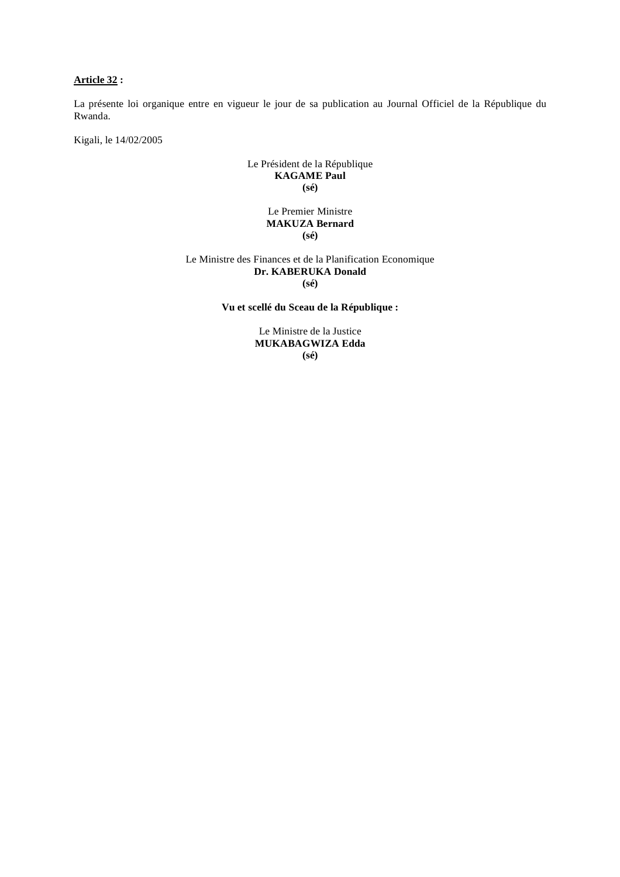## **Article 32 :**

La présente loi organique entre en vigueur le jour de sa publication au Journal Officiel de la République du Rwanda.

Kigali, le 14/02/2005

## Le Président de la République **KAGAME Paul (sé)**

## Le Premier Ministre **MAKUZA Bernard (sé)**

Le Ministre des Finances et de la Planification Economique **Dr. KABERUKA Donald (sé)** 

**Vu et scellé du Sceau de la République :** 

Le Ministre de la Justice **MUKABAGWIZA Edda (sé)**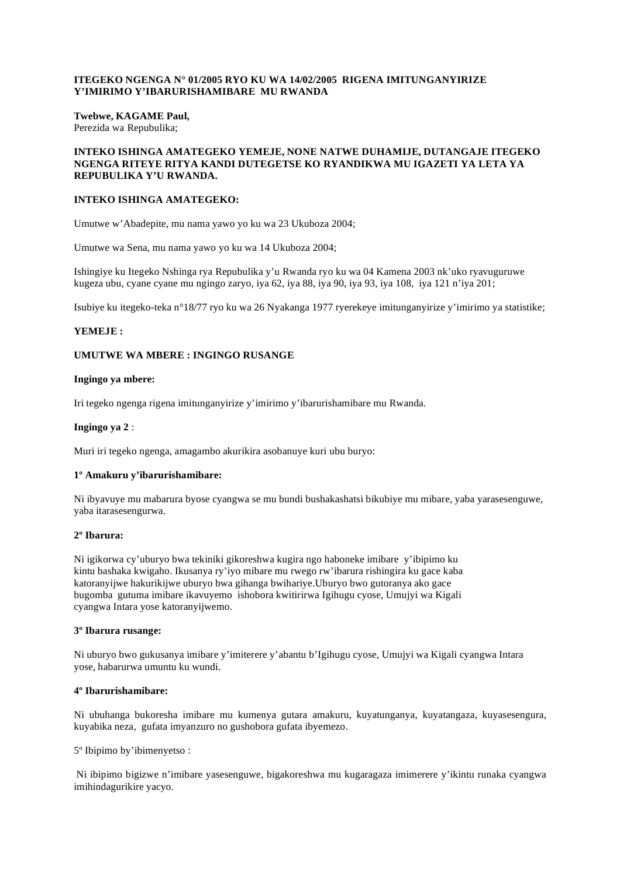#### **ITEGEKO NGENGA N° 01/2005 RYO KU WA 14/02/2005 RIGENA IMITUNGANYIRIZE Y'IMIRIMO Y'IBARURISHAMIBARE MU RWANDA**

**Twebwe, KAGAME Paul,**  Perezida wa Repubulika;

#### **INTEKO ISHINGA AMATEGEKO YEMEJE, NONE NATWE DUHAMIJE, DUTANGAJE ITEGEKO NGENGA RITEYE RITYA KANDI DUTEGETSE KO RYANDIKWA MU IGAZETI YA LETA YA REPUBULIKA Y'U RWANDA.**

#### **INTEKO ISHINGA AMATEGEKO:**

Umutwe w'Abadepite, mu nama yawo yo ku wa 23 Ukuboza 2004;

Umutwe wa Sena, mu nama yawo yo ku wa 14 Ukuboza 2004;

Ishingiye ku Itegeko Nshinga rya Repubulika y'u Rwanda ryo ku wa 04 Kamena 2003 nk'uko ryavuguruwe kugeza ubu, cyane cyane mu ngingo zaryo, iya 62, iya 88, iya 90, iya 93, iya 108, iya 121 n'iya 201;

Isubiye ku itegeko-teka n°18/77 ryo ku wa 26 Nyakanga 1977 ryerekeye imitunganyirize y'imirimo ya statistike;

#### **YEMEJE :**

#### **UMUTWE WA MBERE : INGINGO RUSANGE**

#### **Ingingo ya mbere:**

Iri tegeko ngenga rigena imitunganyirize y'imirimo y'ibarurishamibare mu Rwanda.

#### **Ingingo ya 2** :

Muri iri tegeko ngenga, amagambo akurikira asobanuye kuri ubu buryo:

#### **1º Amakuru y'ibarurishamibare:**

Ni ibyavuye mu mabarura byose cyangwa se mu bundi bushakashatsi bikubiye mu mibare, yaba yarasesenguwe, yaba itarasesengurwa.

#### **2º Ibarura:**

Ni igikorwa cy'uburyo bwa tekiniki gikoreshwa kugira ngo haboneke imibare y'ibipimo ku kintu bashaka kwigaho. Ikusanya ry'iyo mibare mu rwego rw'ibarura rishingira ku gace kaba katoranyijwe hakurikijwe uburyo bwa gihanga bwihariye.Uburyo bwo gutoranya ako gace bugomba gutuma imibare ikavuyemo ishobora kwitirirwa Igihugu cyose, Umujyi wa Kigali cyangwa Intara yose katoranyijwemo.

#### **3º Ibarura rusange:**

Ni uburyo bwo gukusanya imibare y'imiterere y'abantu b'Igihugu cyose, Umujyi wa Kigali cyangwa Intara yose, habarurwa umuntu ku wundi.

#### **4º Ibarurishamibare:**

Ni ubuhanga bukoresha imibare mu kumenya gutara amakuru, kuyatunganya, kuyatangaza, kuyasesengura, kuyabika neza*,* gufata imyanzuro no gushobora gufata ibyemezo.

5º Ibipimo by'ibimenyetso :

 Ni ibipimo bigizwe n'imibare yasesenguwe, bigakoreshwa mu kugaragaza imimerere y'ikintu runaka cyangwa imihindagurikire yacyo.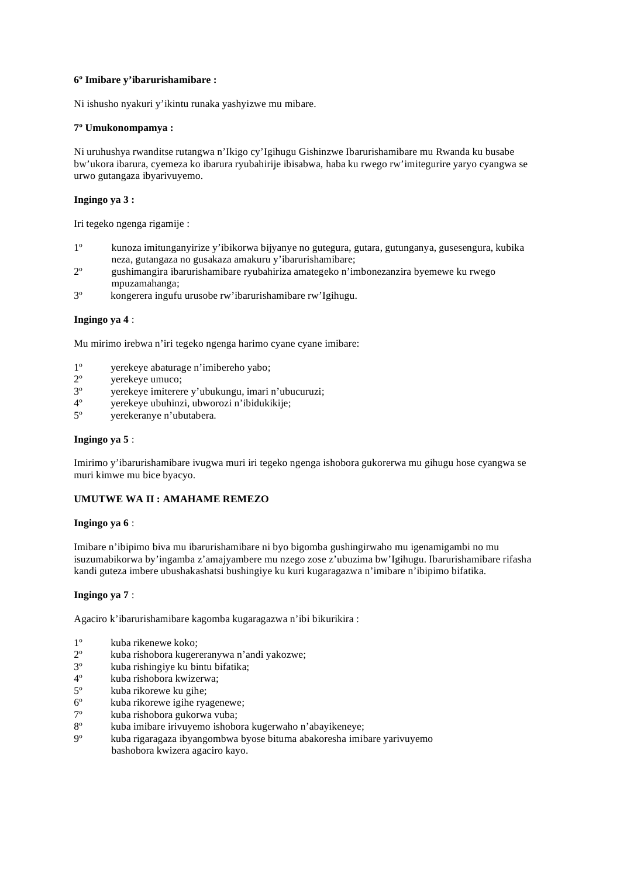## **6º Imibare y'ibarurishamibare :**

Ni ishusho nyakuri y'ikintu runaka yashyizwe mu mibare.

#### **7º Umukonompamya :**

Ni uruhushya rwanditse rutangwa n'Ikigo cy'Igihugu Gishinzwe Ibarurishamibare mu Rwanda ku busabe bw'ukora ibarura, cyemeza ko ibarura ryubahirije ibisabwa, haba ku rwego rw'imitegurire yaryo cyangwa se urwo gutangaza ibyarivuyemo.

## **Ingingo ya 3 :**

Iri tegeko ngenga rigamije :

- 1º kunoza imitunganyirize y'ibikorwa bijyanye no gutegura, gutara, gutunganya, gusesengura, kubika neza, gutangaza no gusakaza amakuru y'ibarurishamibare;
- 2º gushimangira ibarurishamibare ryubahiriza amategeko n'imbonezanzira byemewe ku rwego mpuzamahanga;
- 3º kongerera ingufu urusobe rw'ibarurishamibare rw'Igihugu.

#### **Ingingo ya 4** :

Mu mirimo irebwa n'iri tegeko ngenga harimo cyane cyane imibare:

- 1º yerekeye abaturage n'imibereho yabo;
- 2<sup>o</sup> yerekeye umuco;<br>3<sup>o</sup> verekeye imiterer
- 3º yerekeye imiterere y'ubukungu, imari n'ubucuruzi;
- yerekeye ubuhinzi, ubworozi n'ibidukikije;
- 5º yerekeranye n'ubutabera.

#### **Ingingo ya 5** :

Imirimo y'ibarurishamibare ivugwa muri iri tegeko ngenga ishobora gukorerwa mu gihugu hose cyangwa se muri kimwe mu bice byacyo.

## **UMUTWE WA II : AMAHAME REMEZO**

#### **Ingingo ya 6** :

Imibare n'ibipimo biva mu ibarurishamibare ni byo bigomba gushingirwaho mu igenamigambi no mu isuzumabikorwa by'ingamba z'amajyambere mu nzego zose z'ubuzima bw'Igihugu. Ibarurishamibare rifasha kandi guteza imbere ubushakashatsi bushingiye ku kuri kugaragazwa n'imibare n'ibipimo bifatika.

## **Ingingo ya 7** :

Agaciro k'ibarurishamibare kagomba kugaragazwa n'ibi bikurikira :

- $1^{\circ}$  kuba rikenewe koko;<br> $2^{\circ}$  kuba rishobora kuger
- kuba rishobora kugereranywa n'andi yakozwe;
- 3º kuba rishingiye ku bintu bifatika;
- 4º kuba rishobora kwizerwa;
- kuba rikorewe ku gihe;
- 6º kuba rikorewe igihe ryagenewe;
- 7º kuba rishobora gukorwa vuba;
- 8º kuba imibare irivuyemo ishobora kugerwaho n'abayikeneye;
- 9º kuba rigaragaza ibyangombwa byose bituma abakoresha imibare yarivuyemo bashobora kwizera agaciro kayo.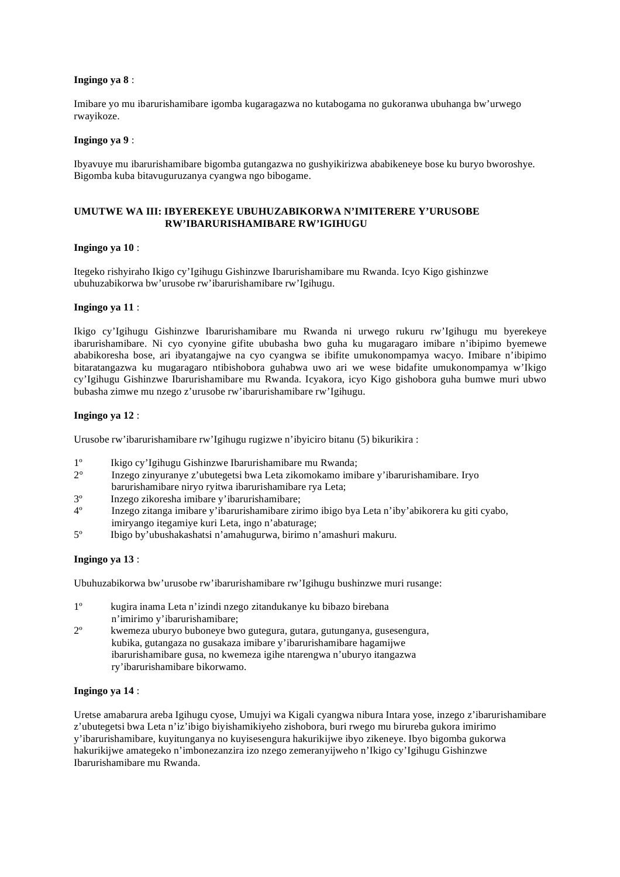#### **Ingingo ya 8** :

Imibare yo mu ibarurishamibare igomba kugaragazwa no kutabogama no gukoranwa ubuhanga bw'urwego rwayikoze.

#### **Ingingo ya 9** :

Ibyavuye mu ibarurishamibare bigomba gutangazwa no gushyikirizwa ababikeneye bose ku buryo bworoshye. Bigomba kuba bitavuguruzanya cyangwa ngo bibogame.

## **UMUTWE WA III: IBYEREKEYE UBUHUZABIKORWA N'IMITERERE Y'URUSOBE RW'IBARURISHAMIBARE RW'IGIHUGU**

#### **Ingingo ya 10** :

Itegeko rishyiraho Ikigo cy'Igihugu Gishinzwe Ibarurishamibare mu Rwanda. Icyo Kigo gishinzwe ubuhuzabikorwa bw'urusobe rw'ibarurishamibare rw'Igihugu.

#### **Ingingo ya 11** :

Ikigo cy'Igihugu Gishinzwe Ibarurishamibare mu Rwanda ni urwego rukuru rw'Igihugu mu byerekeye ibarurishamibare. Ni cyo cyonyine gifite ububasha bwo guha ku mugaragaro imibare n'ibipimo byemewe ababikoresha bose, ari ibyatangajwe na cyo cyangwa se ibifite umukonompamya wacyo. Imibare n'ibipimo bitaratangazwa ku mugaragaro ntibishobora guhabwa uwo ari we wese bidafite umukonompamya w'Ikigo cy'Igihugu Gishinzwe Ibarurishamibare mu Rwanda. Icyakora, icyo Kigo gishobora guha bumwe muri ubwo bubasha zimwe mu nzego z'urusobe rw'ibarurishamibare rw'Igihugu.

## **Ingingo ya 12** :

Urusobe rw'ibarurishamibare rw'Igihugu rugizwe n'ibyiciro bitanu (5) bikurikira :

- 1º Ikigo cy'Igihugu Gishinzwe Ibarurishamibare mu Rwanda;
- 2° Inzego zinyuranye z'ubutegetsi bwa Leta zikomokamo imibare y'ibarurishamibare. Iryo barurishamibare niryo ryitwa ibarurishamibare rya Leta;
- 3º Inzego zikoresha imibare y'ibarurishamibare;
- 4º Inzego zitanga imibare y'ibarurishamibare zirimo ibigo bya Leta n'iby'abikorera ku giti cyabo, imiryango itegamiye kuri Leta, ingo n'abaturage;
- 5º Ibigo by'ubushakashatsi n'amahugurwa, birimo n'amashuri makuru.

## **Ingingo ya 13** :

Ubuhuzabikorwa bw'urusobe rw'ibarurishamibare rw'Igihugu bushinzwe muri rusange:

- 1º kugira inama Leta n'izindi nzego zitandukanye ku bibazo birebana n'imirimo y'ibarurishamibare;
- 2º kwemeza uburyo buboneye bwo gutegura, gutara, gutunganya, gusesengura, kubika, gutangaza no gusakaza imibare y'ibarurishamibare hagamijwe ibarurishamibare gusa, no kwemeza igihe ntarengwa n'uburyo itangazwa ry'ibarurishamibare bikorwamo.

#### **Ingingo ya 14** :

Uretse amabarura areba Igihugu cyose, Umujyi wa Kigali cyangwa nibura Intara yose, inzego z'ibarurishamibare z'ubutegetsi bwa Leta n'iz'ibigo biyishamikiyeho zishobora, buri rwego mu birureba gukora imirimo y'ibarurishamibare, kuyitunganya no kuyisesengura hakurikijwe ibyo zikeneye. Ibyo bigomba gukorwa hakurikijwe amategeko n'imbonezanzira izo nzego zemeranyijweho n'Ikigo cy'Igihugu Gishinzwe Ibarurishamibare mu Rwanda.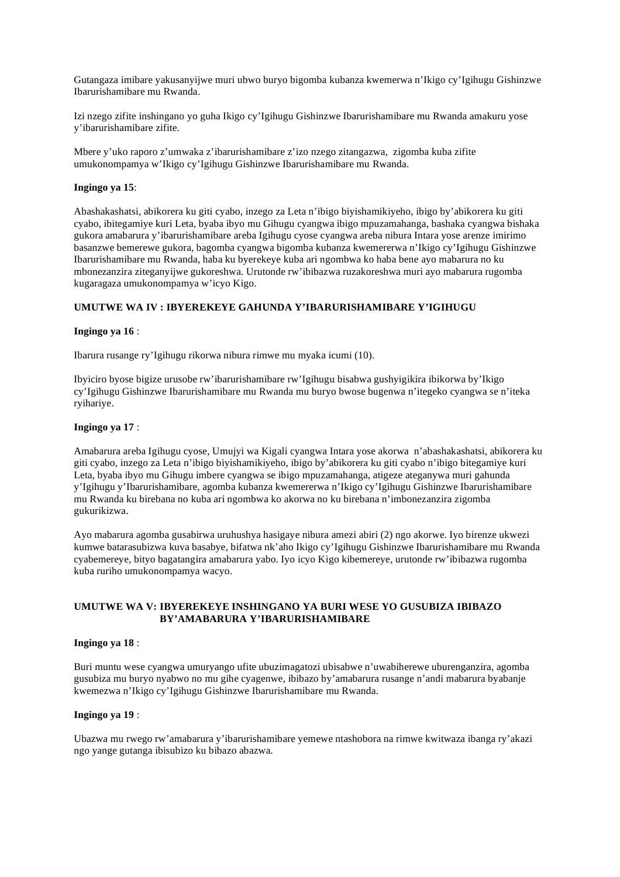Gutangaza imibare yakusanyijwe muri ubwo buryo bigomba kubanza kwemerwa n'Ikigo cy'Igihugu Gishinzwe Ibarurishamibare mu Rwanda.

Izi nzego zifite inshingano yo guha Ikigo cy'Igihugu Gishinzwe Ibarurishamibare mu Rwanda amakuru yose y'ibarurishamibare zifite.

Mbere y'uko raporo z'umwaka z'ibarurishamibare z'izo nzego zitangazwa, zigomba kuba zifite umukonompamya w'Ikigo cy'Igihugu Gishinzwe Ibarurishamibare mu Rwanda.

#### **Ingingo ya 15**:

Abashakashatsi, abikorera ku giti cyabo, inzego za Leta n'ibigo biyishamikiyeho, ibigo by'abikorera ku giti cyabo, ibitegamiye kuri Leta, byaba ibyo mu Gihugu cyangwa ibigo mpuzamahanga, bashaka cyangwa bishaka gukora amabarura y'ibarurishamibare areba Igihugu cyose cyangwa areba nibura Intara yose arenze imirimo basanzwe bemerewe gukora, bagomba cyangwa bigomba kubanza kwemererwa n'Ikigo cy'Igihugu Gishinzwe Ibarurishamibare mu Rwanda, haba ku byerekeye kuba ari ngombwa ko haba bene ayo mabarura no ku mbonezanzira ziteganyijwe gukoreshwa. Urutonde rw'ibibazwa ruzakoreshwa muri ayo mabarura rugomba kugaragaza umukonompamya w'icyo Kigo.

#### **UMUTWE WA IV : IBYEREKEYE GAHUNDA Y'IBARURISHAMIBARE Y'IGIHUGU**

#### **Ingingo ya 16** :

Ibarura rusange ry'Igihugu rikorwa nibura rimwe mu myaka icumi (10).

Ibyiciro byose bigize urusobe rw'ibarurishamibare rw'Igihugu bisabwa gushyigikira ibikorwa by'Ikigo cy'Igihugu Gishinzwe Ibarurishamibare mu Rwanda mu buryo bwose bugenwa n'itegeko cyangwa se n'iteka ryihariye.

#### **Ingingo ya 17** :

Amabarura areba Igihugu cyose, Umujyi wa Kigali cyangwa Intara yose akorwa n'abashakashatsi, abikorera ku giti cyabo, inzego za Leta n'ibigo biyishamikiyeho, ibigo by'abikorera ku giti cyabo n'ibigo bitegamiye kuri Leta, byaba ibyo mu Gihugu imbere cyangwa se ibigo mpuzamahanga, atigeze ateganywa muri gahunda y'Igihugu y'Ibarurishamibare, agomba kubanza kwemererwa n'Ikigo cy'Igihugu Gishinzwe Ibarurishamibare mu Rwanda ku birebana no kuba ari ngombwa ko akorwa no ku birebana n'imbonezanzira zigomba gukurikizwa.

Ayo mabarura agomba gusabirwa uruhushya hasigaye nibura amezi abiri (2) ngo akorwe. Iyo birenze ukwezi kumwe batarasubizwa kuva basabye, bifatwa nk'aho Ikigo cy'Igihugu Gishinzwe Ibarurishamibare mu Rwanda cyabemereye, bityo bagatangira amabarura yabo. Iyo icyo Kigo kibemereye, urutonde rw'ibibazwa rugomba kuba ruriho umukonompamya wacyo.

## **UMUTWE WA V: IBYEREKEYE INSHINGANO YA BURI WESE YO GUSUBIZA IBIBAZO BY'AMABARURA Y'IBARURISHAMIBARE**

### **Ingingo ya 18** :

Buri muntu wese cyangwa umuryango ufite ubuzimagatozi ubisabwe n'uwabiherewe uburenganzira, agomba gusubiza mu buryo nyabwo no mu gihe cyagenwe, ibibazo by'amabarura rusange n'andi mabarura byabanje kwemezwa n'Ikigo cy'Igihugu Gishinzwe Ibarurishamibare mu Rwanda.

#### **Ingingo ya 19** :

Ubazwa mu rwego rw'amabarura y'ibarurishamibare yemewe ntashobora na rimwe kwitwaza ibanga ry'akazi ngo yange gutanga ibisubizo ku bibazo abazwa.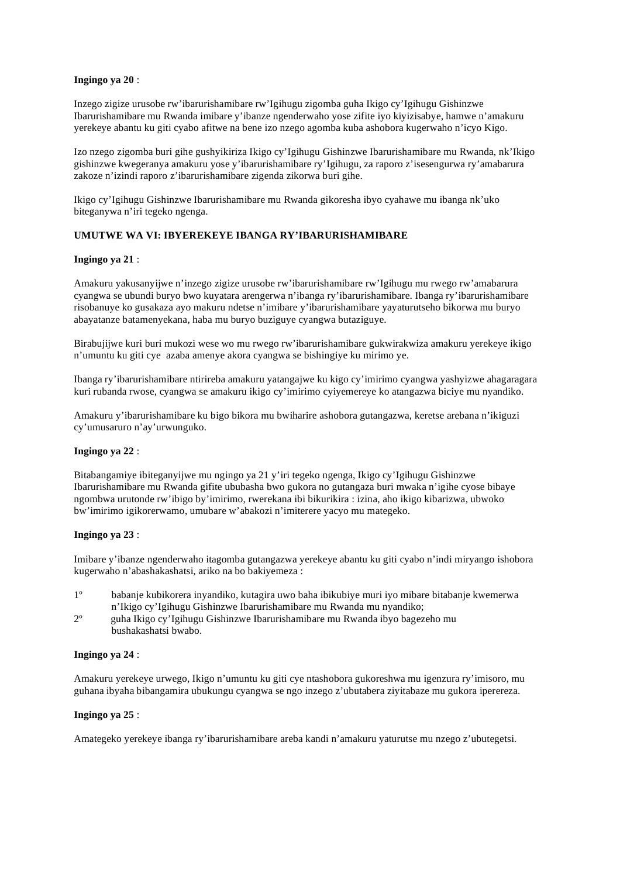#### **Ingingo ya 20** :

Inzego zigize urusobe rw'ibarurishamibare rw'Igihugu zigomba guha Ikigo cy'Igihugu Gishinzwe Ibarurishamibare mu Rwanda imibare y'ibanze ngenderwaho yose zifite iyo kiyizisabye, hamwe n'amakuru yerekeye abantu ku giti cyabo afitwe na bene izo nzego agomba kuba ashobora kugerwaho n'icyo Kigo.

Izo nzego zigomba buri gihe gushyikiriza Ikigo cy'Igihugu Gishinzwe Ibarurishamibare mu Rwanda, nk'Ikigo gishinzwe kwegeranya amakuru yose y'ibarurishamibare ry'Igihugu, za raporo z'isesengurwa ry'amabarura zakoze n'izindi raporo z'ibarurishamibare zigenda zikorwa buri gihe.

Ikigo cy'Igihugu Gishinzwe Ibarurishamibare mu Rwanda gikoresha ibyo cyahawe mu ibanga nk'uko biteganywa n'iri tegeko ngenga.

## **UMUTWE WA VI: IBYEREKEYE IBANGA RY'IBARURISHAMIBARE**

#### **Ingingo ya 21** :

Amakuru yakusanyijwe n'inzego zigize urusobe rw'ibarurishamibare rw'Igihugu mu rwego rw'amabarura cyangwa se ubundi buryo bwo kuyatara arengerwa n'ibanga ry'ibarurishamibare. Ibanga ry'ibarurishamibare risobanuye ko gusakaza ayo makuru ndetse n'imibare y'ibarurishamibare yayaturutseho bikorwa mu buryo abayatanze batamenyekana, haba mu buryo buziguye cyangwa butaziguye.

Birabujijwe kuri buri mukozi wese wo mu rwego rw'ibarurishamibare gukwirakwiza amakuru yerekeye ikigo n'umuntu ku giti cye azaba amenye akora cyangwa se bishingiye ku mirimo ye.

Ibanga ry'ibarurishamibare ntirireba amakuru yatangajwe ku kigo cy'imirimo cyangwa yashyizwe ahagaragara kuri rubanda rwose, cyangwa se amakuru ikigo cy'imirimo cyiyemereye ko atangazwa biciye mu nyandiko.

Amakuru y'ibarurishamibare ku bigo bikora mu bwiharire ashobora gutangazwa, keretse arebana n'ikiguzi cy'umusaruro n'ay'urwunguko.

#### **Ingingo ya 22** :

Bitabangamiye ibiteganyijwe mu ngingo ya 21 y'iri tegeko ngenga, Ikigo cy'Igihugu Gishinzwe Ibarurishamibare mu Rwanda gifite ububasha bwo gukora no gutangaza buri mwaka n'igihe cyose bibaye ngombwa urutonde rw'ibigo by'imirimo, rwerekana ibi bikurikira : izina, aho ikigo kibarizwa, ubwoko bw'imirimo igikorerwamo, umubare w'abakozi n'imiterere yacyo mu mategeko.

#### **Ingingo ya 23** :

Imibare y'ibanze ngenderwaho itagomba gutangazwa yerekeye abantu ku giti cyabo n'indi miryango ishobora kugerwaho n'abashakashatsi, ariko na bo bakiyemeza :

- 1º babanje kubikorera inyandiko, kutagira uwo baha ibikubiye muri iyo mibare bitabanje kwemerwa n'Ikigo cy'Igihugu Gishinzwe Ibarurishamibare mu Rwanda mu nyandiko;
- 2º guha Ikigo cy'Igihugu Gishinzwe Ibarurishamibare mu Rwanda ibyo bagezeho mu bushakashatsi bwabo.

#### **Ingingo ya 24** :

Amakuru yerekeye urwego, Ikigo n'umuntu ku giti cye ntashobora gukoreshwa mu igenzura ry'imisoro, mu guhana ibyaha bibangamira ubukungu cyangwa se ngo inzego z'ubutabera ziyitabaze mu gukora iperereza.

#### **Ingingo ya 25** :

Amategeko yerekeye ibanga ry'ibarurishamibare areba kandi n'amakuru yaturutse mu nzego z'ubutegetsi.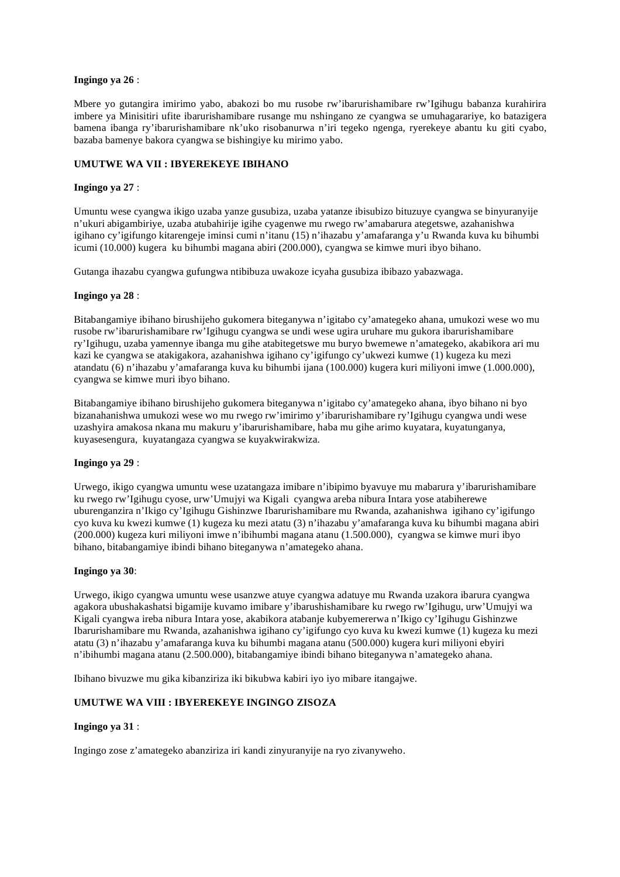#### **Ingingo ya 26** :

Mbere yo gutangira imirimo yabo, abakozi bo mu rusobe rw'ibarurishamibare rw'Igihugu babanza kurahirira imbere ya Minisitiri ufite ibarurishamibare rusange mu nshingano ze cyangwa se umuhagarariye, ko batazigera bamena ibanga ry'ibarurishamibare nk'uko risobanurwa n'iri tegeko ngenga, ryerekeye abantu ku giti cyabo, bazaba bamenye bakora cyangwa se bishingiye ku mirimo yabo.

## **UMUTWE WA VII : IBYEREKEYE IBIHANO**

#### **Ingingo ya 27** :

Umuntu wese cyangwa ikigo uzaba yanze gusubiza, uzaba yatanze ibisubizo bituzuye cyangwa se binyuranyije n'ukuri abigambiriye, uzaba atubahirije igihe cyagenwe mu rwego rw'amabarura ategetswe, azahanishwa igihano cy'igifungo kitarengeje iminsi cumi n'itanu (15) n'ihazabu y'amafaranga y'u Rwanda kuva ku bihumbi icumi (10.000) kugera ku bihumbi magana abiri (200.000), cyangwa se kimwe muri ibyo bihano.

Gutanga ihazabu cyangwa gufungwa ntibibuza uwakoze icyaha gusubiza ibibazo yabazwaga.

#### **Ingingo ya 28** :

Bitabangamiye ibihano birushijeho gukomera biteganywa n'igitabo cy'amategeko ahana, umukozi wese wo mu rusobe rw'ibarurishamibare rw'Igihugu cyangwa se undi wese ugira uruhare mu gukora ibarurishamibare ry'Igihugu, uzaba yamennye ibanga mu gihe atabitegetswe mu buryo bwemewe n'amategeko, akabikora ari mu kazi ke cyangwa se atakigakora, azahanishwa igihano cy'igifungo cy'ukwezi kumwe (1) kugeza ku mezi atandatu (6) n'ihazabu y'amafaranga kuva ku bihumbi ijana (100.000) kugera kuri miliyoni imwe (1.000.000), cyangwa se kimwe muri ibyo bihano.

Bitabangamiye ibihano birushijeho gukomera biteganywa n'igitabo cy'amategeko ahana, ibyo bihano ni byo bizanahanishwa umukozi wese wo mu rwego rw'imirimo y'ibarurishamibare ry'Igihugu cyangwa undi wese uzashyira amakosa nkana mu makuru y'ibarurishamibare, haba mu gihe arimo kuyatara, kuyatunganya, kuyasesengura, kuyatangaza cyangwa se kuyakwirakwiza.

#### **Ingingo ya 29** :

Urwego, ikigo cyangwa umuntu wese uzatangaza imibare n'ibipimo byavuye mu mabarura y'ibarurishamibare ku rwego rw'Igihugu cyose, urw'Umujyi wa Kigali cyangwa areba nibura Intara yose atabiherewe uburenganzira n'Ikigo cy'Igihugu Gishinzwe Ibarurishamibare mu Rwanda, azahanishwa igihano cy'igifungo cyo kuva ku kwezi kumwe (1) kugeza ku mezi atatu (3) n'ihazabu y'amafaranga kuva ku bihumbi magana abiri (200.000) kugeza kuri miliyoni imwe n'ibihumbi magana atanu (1.500.000), cyangwa se kimwe muri ibyo bihano, bitabangamiye ibindi bihano biteganywa n'amategeko ahana.

#### **Ingingo ya 30**:

Urwego, ikigo cyangwa umuntu wese usanzwe atuye cyangwa adatuye mu Rwanda uzakora ibarura cyangwa agakora ubushakashatsi bigamije kuvamo imibare y'ibarushishamibare ku rwego rw'Igihugu, urw'Umujyi wa Kigali cyangwa ireba nibura Intara yose, akabikora atabanje kubyemererwa n'Ikigo cy'Igihugu Gishinzwe Ibarurishamibare mu Rwanda, azahanishwa igihano cy'igifungo cyo kuva ku kwezi kumwe (1) kugeza ku mezi atatu (3) n'ihazabu y'amafaranga kuva ku bihumbi magana atanu (500.000) kugera kuri miliyoni ebyiri n'ibihumbi magana atanu (2.500.000), bitabangamiye ibindi bihano biteganywa n'amategeko ahana.

Ibihano bivuzwe mu gika kibanziriza iki bikubwa kabiri iyo iyo mibare itangajwe.

## **UMUTWE WA VIII : IBYEREKEYE INGINGO ZISOZA**

#### **Ingingo ya 31** :

Ingingo zose z'amategeko abanziriza iri kandi zinyuranyije na ryo zivanyweho.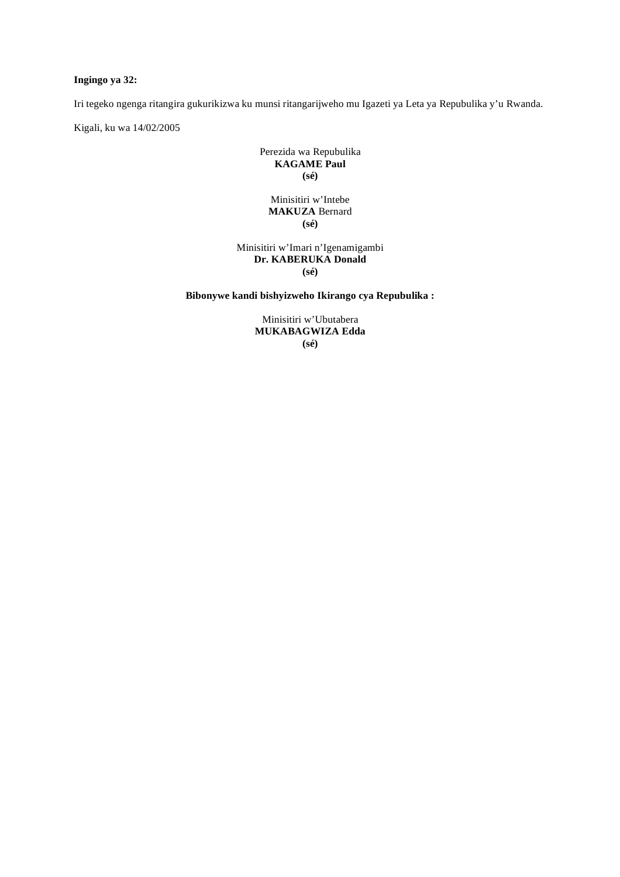## **Ingingo ya 32:**

Iri tegeko ngenga ritangira gukurikizwa ku munsi ritangarijweho mu Igazeti ya Leta ya Repubulika y'u Rwanda.

Kigali, ku wa 14/02/2005

Perezida wa Repubulika **KAGAME Paul (sé)** 

## Minisitiri w'Intebe **MAKUZA** Bernard **(sé)**

## Minisitiri w'Imari n'Igenamigambi **Dr. KABERUKA Donald (sé)**

## **Bibonywe kandi bishyizweho Ikirango cya Repubulika :**

Minisitiri w'Ubutabera **MUKABAGWIZA Edda (sé)**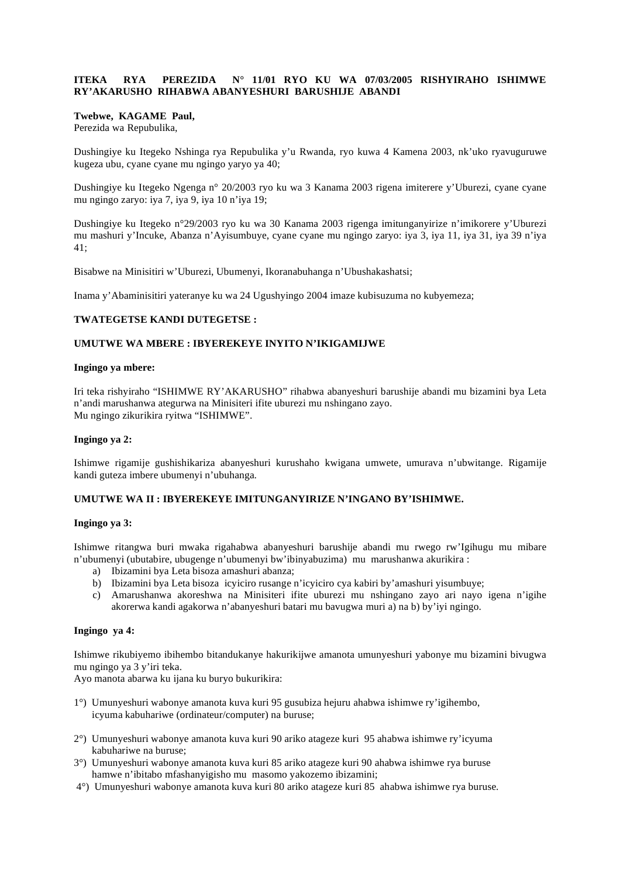## **ITEKA RYA PEREZIDA N° 11/01 RYO KU WA 07/03/2005 RISHYIRAHO ISHIMWE RY'AKARUSHO RIHABWA ABANYESHURI BARUSHIJE ABANDI**

#### **Twebwe, KAGAME Paul,**

Perezida wa Repubulika,

Dushingiye ku Itegeko Nshinga rya Repubulika y'u Rwanda, ryo kuwa 4 Kamena 2003, nk'uko ryavuguruwe kugeza ubu, cyane cyane mu ngingo yaryo ya 40;

Dushingiye ku Itegeko Ngenga n° 20/2003 ryo ku wa 3 Kanama 2003 rigena imiterere y'Uburezi, cyane cyane mu ngingo zaryo: iya 7, iya 9, iya 10 n'iya 19;

Dushingiye ku Itegeko n°29/2003 ryo ku wa 30 Kanama 2003 rigenga imitunganyirize n'imikorere y'Uburezi mu mashuri y'Incuke, Abanza n'Ayisumbuye, cyane cyane mu ngingo zaryo: iya 3, iya 11, iya 31, iya 39 n'iya 41;

Bisabwe na Minisitiri w'Uburezi, Ubumenyi, Ikoranabuhanga n'Ubushakashatsi;

Inama y'Abaminisitiri yateranye ku wa 24 Ugushyingo 2004 imaze kubisuzuma no kubyemeza;

## **TWATEGETSE KANDI DUTEGETSE :**

## **UMUTWE WA MBERE : IBYEREKEYE INYITO N'IKIGAMIJWE**

#### **Ingingo ya mbere:**

Iri teka rishyiraho "ISHIMWE RY'AKARUSHO" rihabwa abanyeshuri barushije abandi mu bizamini bya Leta n'andi marushanwa ategurwa na Minisiteri ifite uburezi mu nshingano zayo. Mu ngingo zikurikira ryitwa "ISHIMWE".

## **Ingingo ya 2:**

Ishimwe rigamije gushishikariza abanyeshuri kurushaho kwigana umwete, umurava n'ubwitange. Rigamije kandi guteza imbere ubumenyi n'ubuhanga.

## **UMUTWE WA II : IBYEREKEYE IMITUNGANYIRIZE N'INGANO BY'ISHIMWE.**

#### **Ingingo ya 3:**

Ishimwe ritangwa buri mwaka rigahabwa abanyeshuri barushije abandi mu rwego rw'Igihugu mu mibare n'ubumenyi (ubutabire, ubugenge n'ubumenyi bw'ibinyabuzima) mu marushanwa akurikira :

- a) Ibizamini bya Leta bisoza amashuri abanza;
- b) Ibizamini bya Leta bisoza icyiciro rusange n'icyiciro cya kabiri by'amashuri yisumbuye;
- c) Amarushanwa akoreshwa na Minisiteri ifite uburezi mu nshingano zayo ari nayo igena n'igihe akorerwa kandi agakorwa n'abanyeshuri batari mu bavugwa muri a) na b) by'iyi ngingo.

#### **Ingingo ya 4:**

Ishimwe rikubiyemo ibihembo bitandukanye hakurikijwe amanota umunyeshuri yabonye mu bizamini bivugwa mu ngingo ya 3 y'iri teka.

Ayo manota abarwa ku ijana ku buryo bukurikira:

- 1°) Umunyeshuri wabonye amanota kuva kuri 95 gusubiza hejuru ahabwa ishimwe ry'igihembo, icyuma kabuhariwe (ordinateur/computer) na buruse;
- 2°) Umunyeshuri wabonye amanota kuva kuri 90 ariko atageze kuri 95 ahabwa ishimwe ry'icyuma kabuhariwe na buruse;
- 3°) Umunyeshuri wabonye amanota kuva kuri 85 ariko atageze kuri 90 ahabwa ishimwe rya buruse hamwe n'ibitabo mfashanyigisho mu masomo yakozemo ibizamini;
- 4°) Umunyeshuri wabonye amanota kuva kuri 80 ariko atageze kuri 85 ahabwa ishimwe rya buruse.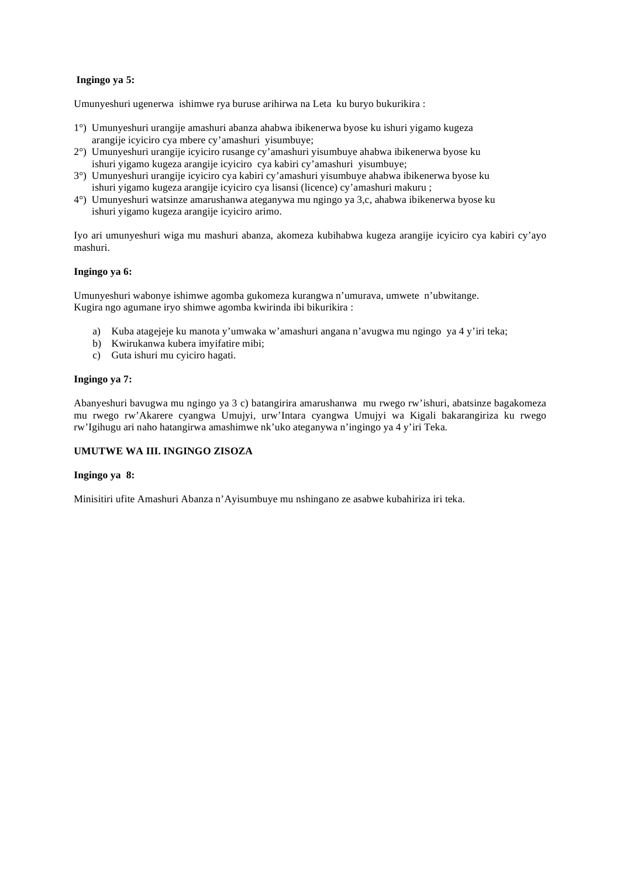## **Ingingo ya 5:**

Umunyeshuri ugenerwa ishimwe rya buruse arihirwa na Leta ku buryo bukurikira :

- 1°) Umunyeshuri urangije amashuri abanza ahabwa ibikenerwa byose ku ishuri yigamo kugeza arangije icyiciro cya mbere cy'amashuri yisumbuye;
- 2°) Umunyeshuri urangije icyiciro rusange cy'amashuri yisumbuye ahabwa ibikenerwa byose ku ishuri yigamo kugeza arangije icyiciro cya kabiri cy'amashuri yisumbuye;
- 3°) Umunyeshuri urangije icyiciro cya kabiri cy'amashuri yisumbuye ahabwa ibikenerwa byose ku ishuri yigamo kugeza arangije icyiciro cya lisansi (licence) cy'amashuri makuru ;
- 4°) Umunyeshuri watsinze amarushanwa ateganywa mu ngingo ya 3,c, ahabwa ibikenerwa byose ku ishuri yigamo kugeza arangije icyiciro arimo.

Iyo ari umunyeshuri wiga mu mashuri abanza, akomeza kubihabwa kugeza arangije icyiciro cya kabiri cy'ayo mashuri.

#### **Ingingo ya 6:**

Umunyeshuri wabonye ishimwe agomba gukomeza kurangwa n'umurava, umwete n'ubwitange. Kugira ngo agumane iryo shimwe agomba kwirinda ibi bikurikira :

- a) Kuba atagejeje ku manota y'umwaka w'amashuri angana n'avugwa mu ngingo ya 4 y'iri teka;
- b) Kwirukanwa kubera imyifatire mibi;
- c) Guta ishuri mu cyiciro hagati.

#### **Ingingo ya 7:**

Abanyeshuri bavugwa mu ngingo ya 3 c) batangirira amarushanwa mu rwego rw'ishuri, abatsinze bagakomeza mu rwego rw'Akarere cyangwa Umujyi, urw'Intara cyangwa Umujyi wa Kigali bakarangiriza ku rwego rw'Igihugu ari naho hatangirwa amashimwe nk'uko ateganywa n'ingingo ya 4 y'iri Teka.

## **UMUTWE WA III. INGINGO ZISOZA**

#### **Ingingo ya 8:**

Minisitiri ufite Amashuri Abanza n'Ayisumbuye mu nshingano ze asabwe kubahiriza iri teka.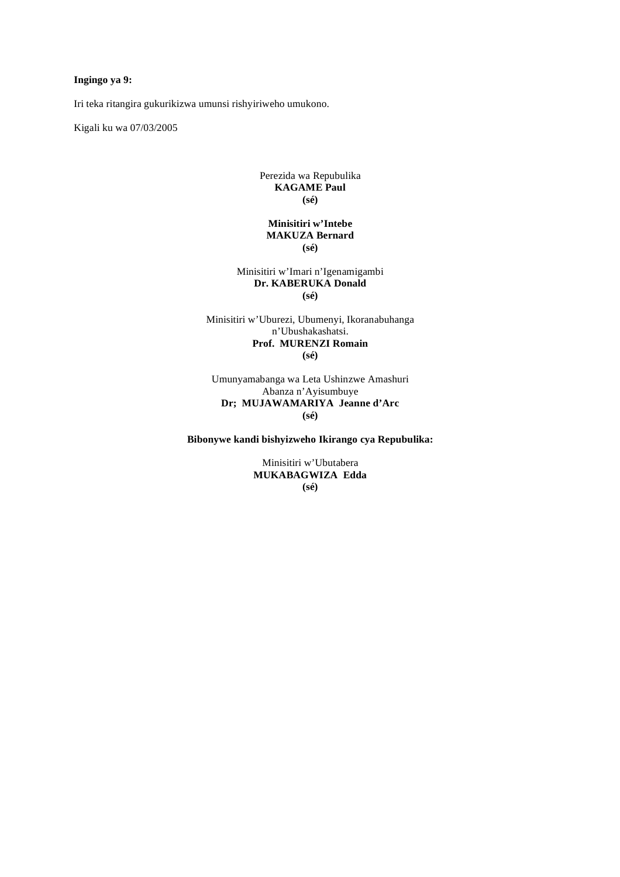## **Ingingo ya 9:**

Iri teka ritangira gukurikizwa umunsi rishyiriweho umukono.

Kigali ku wa 07/03/2005

#### Perezida wa Repubulika **KAGAME Paul (sé)**

## **Minisitiri w'Intebe MAKUZA Bernard (sé)**

Minisitiri w'Imari n'Igenamigambi **Dr. KABERUKA Donald (sé)** 

Minisitiri w'Uburezi, Ubumenyi, Ikoranabuhanga n'Ubushakashatsi. **Prof. MURENZI Romain (sé)** 

Umunyamabanga wa Leta Ushinzwe Amashuri Abanza n'Ayisumbuye **Dr; MUJAWAMARIYA Jeanne d'Arc (sé)** 

**Bibonywe kandi bishyizweho Ikirango cya Repubulika:** 

Minisitiri w'Ubutabera **MUKABAGWIZA Edda (sé)**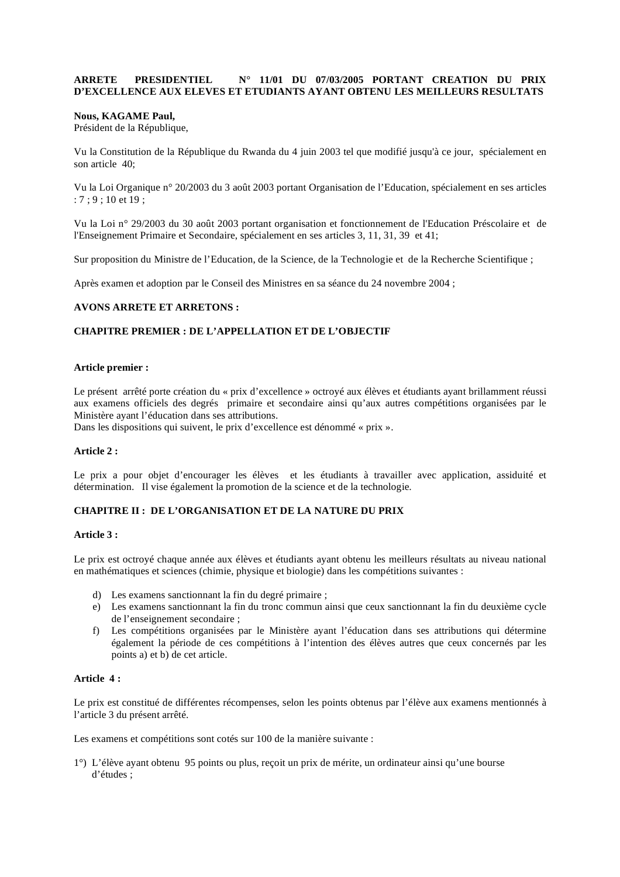#### **ARRETE PRESIDENTIEL N° 11/01 DU 07/03/2005 PORTANT CREATION DU PRIX D'EXCELLENCE AUX ELEVES ET ETUDIANTS AYANT OBTENU LES MEILLEURS RESULTATS**

#### **Nous, KAGAME Paul,**

Président de la République,

Vu la Constitution de la République du Rwanda du 4 juin 2003 tel que modifié jusqu'à ce jour, spécialement en son article 40;

Vu la Loi Organique n° 20/2003 du 3 août 2003 portant Organisation de l'Education, spécialement en ses articles : 7 ; 9 ; 10 et 19 ;

Vu la Loi n° 29/2003 du 30 août 2003 portant organisation et fonctionnement de l'Education Préscolaire et de l'Enseignement Primaire et Secondaire, spécialement en ses articles 3, 11, 31, 39 et 41;

Sur proposition du Ministre de l'Education, de la Science, de la Technologie et de la Recherche Scientifique ;

Après examen et adoption par le Conseil des Ministres en sa séance du 24 novembre 2004 ;

#### **AVONS ARRETE ET ARRETONS :**

#### **CHAPITRE PREMIER : DE L'APPELLATION ET DE L'OBJECTIF**

#### **Article premier :**

Le présent arrêté porte création du « prix d'excellence » octroyé aux élèves et étudiants ayant brillamment réussi aux examens officiels des degrés primaire et secondaire ainsi qu'aux autres compétitions organisées par le Ministère ayant l'éducation dans ses attributions.

Dans les dispositions qui suivent, le prix d'excellence est dénommé « prix ».

#### **Article 2 :**

Le prix a pour objet d'encourager les élèves et les étudiants à travailler avec application, assiduité et détermination. Il vise également la promotion de la science et de la technologie.

## **CHAPITRE II : DE L'ORGANISATION ET DE LA NATURE DU PRIX**

#### **Article 3 :**

Le prix est octroyé chaque année aux élèves et étudiants ayant obtenu les meilleurs résultats au niveau national en mathématiques et sciences (chimie, physique et biologie) dans les compétitions suivantes :

- d) Les examens sanctionnant la fin du degré primaire ;
- e) Les examens sanctionnant la fin du tronc commun ainsi que ceux sanctionnant la fin du deuxième cycle de l'enseignement secondaire ;
- f) Les compétitions organisées par le Ministère ayant l'éducation dans ses attributions qui détermine également la période de ces compétitions à l'intention des élèves autres que ceux concernés par les points a) et b) de cet article.

## **Article 4 :**

Le prix est constitué de différentes récompenses, selon les points obtenus par l'élève aux examens mentionnés à l'article 3 du présent arrêté.

Les examens et compétitions sont cotés sur 100 de la manière suivante :

1°) L'élève ayant obtenu 95 points ou plus, reçoit un prix de mérite, un ordinateur ainsi qu'une bourse d'études ;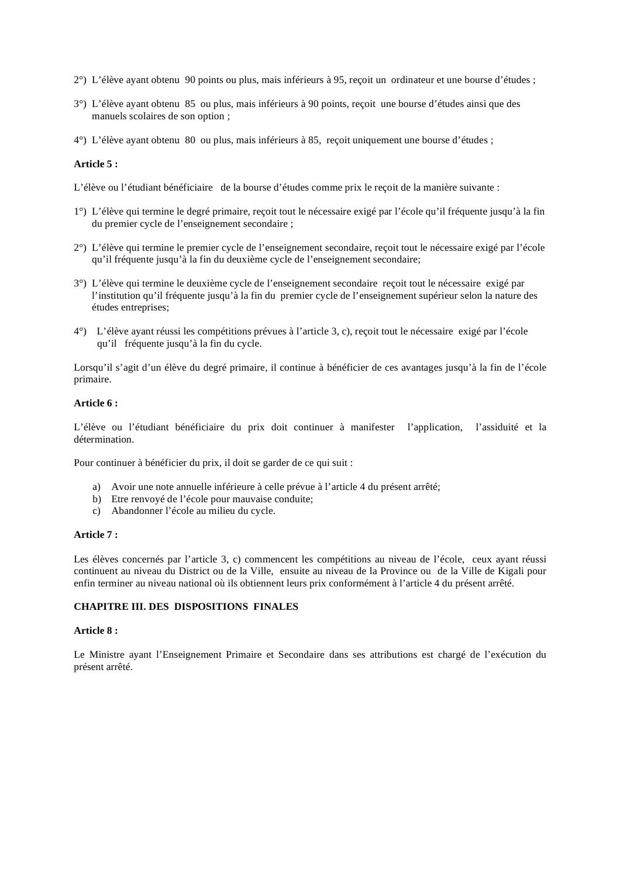- 2°) L'élève ayant obtenu 90 points ou plus, mais inférieurs à 95, reçoit un ordinateur et une bourse d'études ;
- 3°) L'élève ayant obtenu 85 ou plus, mais inférieurs à 90 points, reçoit une bourse d'études ainsi que des manuels scolaires de son option ;
- 4°) L'élève ayant obtenu 80 ou plus, mais inférieurs à 85, reçoit uniquement une bourse d'études ;

#### **Article 5 :**

L'élève ou l'étudiant bénéficiaire de la bourse d'études comme prix le reçoit de la manière suivante :

- 1°) L'élève qui termine le degré primaire, reçoit tout le nécessaire exigé par l'école qu'il fréquente jusqu'à la fin du premier cycle de l'enseignement secondaire ;
- 2°) L'élève qui termine le premier cycle de l'enseignement secondaire, reçoit tout le nécessaire exigé par l'école qu'il fréquente jusqu'à la fin du deuxième cycle de l'enseignement secondaire;
- 3°) L'élève qui termine le deuxième cycle de l'enseignement secondaire reçoit tout le nécessaire exigé par l'institution qu'il fréquente jusqu'à la fin du premier cycle de l'enseignement supérieur selon la nature des études entreprises;
- 4°) L'élève ayant réussi les compétitions prévues à l'article 3, c), reçoit tout le nécessaire exigé par l'école qu'il fréquente jusqu'à la fin du cycle.

Lorsqu'il s'agit d'un élève du degré primaire, il continue à bénéficier de ces avantages jusqu'à la fin de l'école primaire.

#### **Article 6 :**

L'élève ou l'étudiant bénéficiaire du prix doit continuer à manifester l'application, l'assiduité et la détermination.

Pour continuer à bénéficier du prix, il doit se garder de ce qui suit :

- a) Avoir une note annuelle inférieure à celle prévue à l'article 4 du présent arrêté;
- b) Etre renvoyé de l'école pour mauvaise conduite;
- c) Abandonner l'école au milieu du cycle.

#### **Article 7 :**

Les élèves concernés par l'article 3, c) commencent les compétitions au niveau de l'école, ceux ayant réussi continuent au niveau du District ou de la Ville, ensuite au niveau de la Province ou de la Ville de Kigali pour enfin terminer au niveau national où ils obtiennent leurs prix conformément à l'article 4 du présent arrêté.

#### **CHAPITRE III. DES DISPOSITIONS FINALES**

#### **Article 8 :**

Le Ministre ayant l'Enseignement Primaire et Secondaire dans ses attributions est chargé de l'exécution du présent arrêté.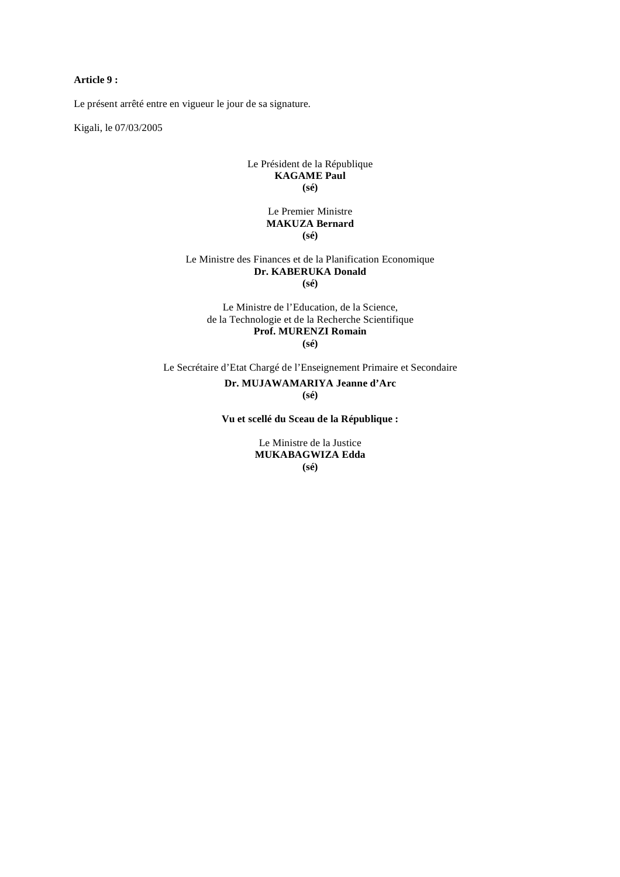## **Article 9 :**

Le présent arrêté entre en vigueur le jour de sa signature.

Kigali, le 07/03/2005

#### Le Président de la République **KAGAME Paul (sé)**

#### Le Premier Ministre **MAKUZA Bernard (sé)**

#### Le Ministre des Finances et de la Planification Economique **Dr. KABERUKA Donald (sé)**

Le Ministre de l'Education, de la Science, de la Technologie et de la Recherche Scientifique **Prof. MURENZI Romain (sé)** 

Le Secrétaire d'Etat Chargé de l'Enseignement Primaire et Secondaire **Dr. MUJAWAMARIYA Jeanne d'Arc (sé)** 

**Vu et scellé du Sceau de la République :** 

Le Ministre de la Justice **MUKABAGWIZA Edda (sé)**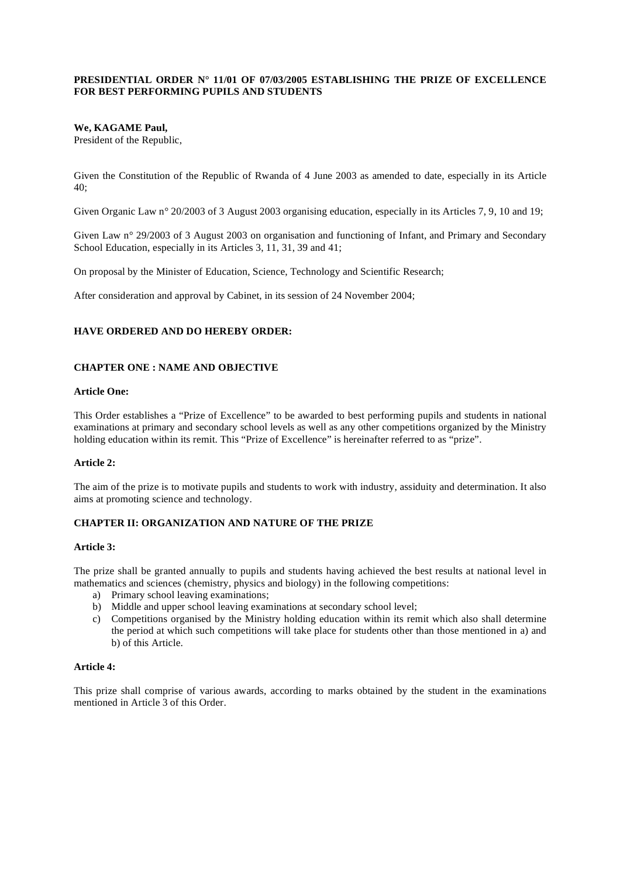## **PRESIDENTIAL ORDER N° 11/01 OF 07/03/2005 ESTABLISHING THE PRIZE OF EXCELLENCE FOR BEST PERFORMING PUPILS AND STUDENTS**

#### **We, KAGAME Paul,**

President of the Republic,

Given the Constitution of the Republic of Rwanda of 4 June 2003 as amended to date, especially in its Article 40;

Given Organic Law n° 20/2003 of 3 August 2003 organising education, especially in its Articles 7, 9, 10 and 19;

Given Law n° 29/2003 of 3 August 2003 on organisation and functioning of Infant, and Primary and Secondary School Education, especially in its Articles 3, 11, 31, 39 and 41;

On proposal by the Minister of Education, Science, Technology and Scientific Research;

After consideration and approval by Cabinet, in its session of 24 November 2004;

## **HAVE ORDERED AND DO HEREBY ORDER:**

#### **CHAPTER ONE : NAME AND OBJECTIVE**

#### **Article One:**

This Order establishes a "Prize of Excellence" to be awarded to best performing pupils and students in national examinations at primary and secondary school levels as well as any other competitions organized by the Ministry holding education within its remit. This "Prize of Excellence" is hereinafter referred to as "prize".

#### **Article 2:**

The aim of the prize is to motivate pupils and students to work with industry, assiduity and determination. It also aims at promoting science and technology.

#### **CHAPTER II: ORGANIZATION AND NATURE OF THE PRIZE**

#### **Article 3:**

The prize shall be granted annually to pupils and students having achieved the best results at national level in mathematics and sciences (chemistry, physics and biology) in the following competitions:

- a) Primary school leaving examinations;
- b) Middle and upper school leaving examinations at secondary school level;
- c) Competitions organised by the Ministry holding education within its remit which also shall determine the period at which such competitions will take place for students other than those mentioned in a) and b) of this Article.

#### **Article 4:**

This prize shall comprise of various awards, according to marks obtained by the student in the examinations mentioned in Article 3 of this Order.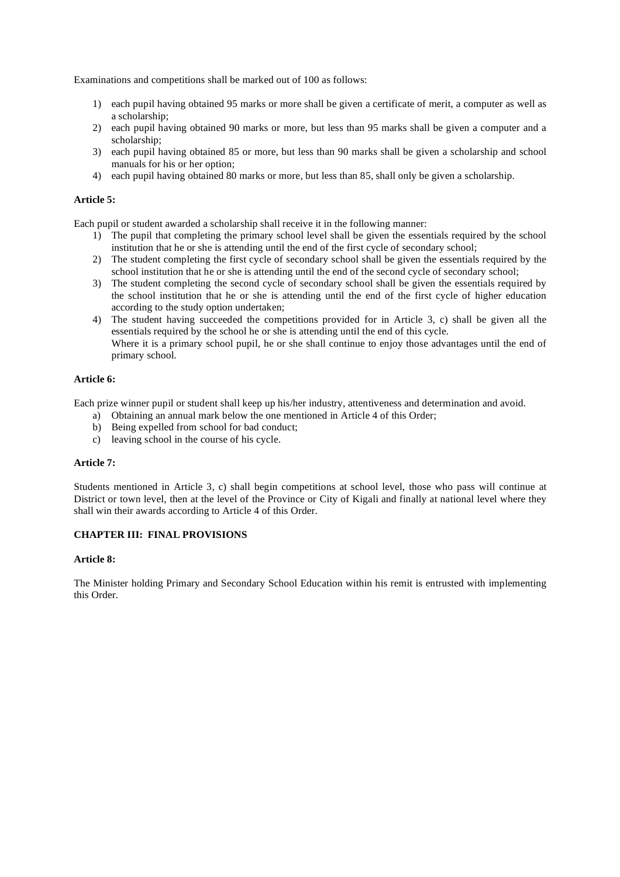Examinations and competitions shall be marked out of 100 as follows:

- 1) each pupil having obtained 95 marks or more shall be given a certificate of merit, a computer as well as a scholarship;
- 2) each pupil having obtained 90 marks or more, but less than 95 marks shall be given a computer and a scholarship;
- 3) each pupil having obtained 85 or more, but less than 90 marks shall be given a scholarship and school manuals for his or her option;
- 4) each pupil having obtained 80 marks or more, but less than 85, shall only be given a scholarship.

## **Article 5:**

Each pupil or student awarded a scholarship shall receive it in the following manner:

- 1) The pupil that completing the primary school level shall be given the essentials required by the school institution that he or she is attending until the end of the first cycle of secondary school;
- 2) The student completing the first cycle of secondary school shall be given the essentials required by the school institution that he or she is attending until the end of the second cycle of secondary school;
- 3) The student completing the second cycle of secondary school shall be given the essentials required by the school institution that he or she is attending until the end of the first cycle of higher education according to the study option undertaken;
- 4) The student having succeeded the competitions provided for in Article 3, c) shall be given all the essentials required by the school he or she is attending until the end of this cycle. Where it is a primary school pupil, he or she shall continue to enjoy those advantages until the end of primary school.

## **Article 6:**

Each prize winner pupil or student shall keep up his/her industry, attentiveness and determination and avoid.

- a) Obtaining an annual mark below the one mentioned in Article 4 of this Order;
- b) Being expelled from school for bad conduct;
- c) leaving school in the course of his cycle.

#### **Article 7:**

Students mentioned in Article 3, c) shall begin competitions at school level, those who pass will continue at District or town level, then at the level of the Province or City of Kigali and finally at national level where they shall win their awards according to Article 4 of this Order.

## **CHAPTER III: FINAL PROVISIONS**

#### **Article 8:**

The Minister holding Primary and Secondary School Education within his remit is entrusted with implementing this Order.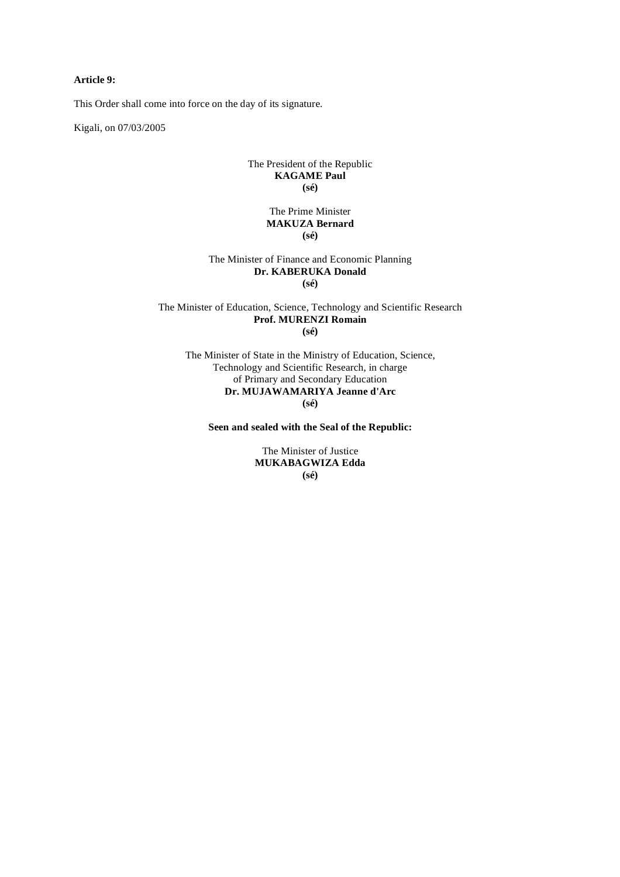## **Article 9:**

This Order shall come into force on the day of its signature.

Kigali, on 07/03/2005

#### The President of the Republic **KAGAME Paul (sé)**

#### The Prime Minister **MAKUZA Bernard (sé)**

#### The Minister of Finance and Economic Planning **Dr. KABERUKA Donald (sé)**

The Minister of Education, Science, Technology and Scientific Research **Prof. MURENZI Romain (sé)** 

The Minister of State in the Ministry of Education, Science, Technology and Scientific Research, in charge of Primary and Secondary Education **Dr. MUJAWAMARIYA Jeanne d'Arc (sé)** 

**Seen and sealed with the Seal of the Republic:** 

The Minister of Justice **MUKABAGWIZA Edda (sé)**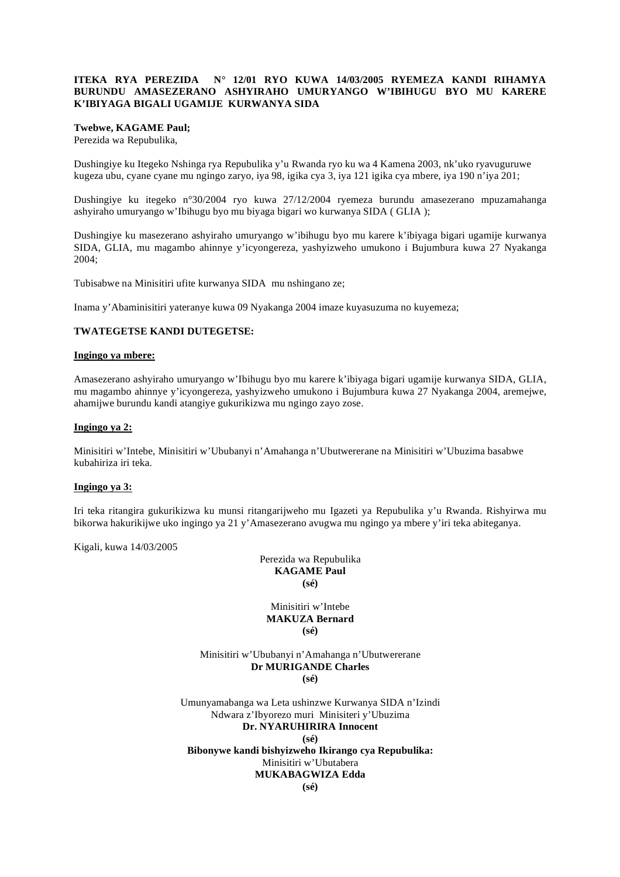#### **ITEKA RYA PEREZIDA N° 12/01 RYO KUWA 14/03/2005 RYEMEZA KANDI RIHAMYA BURUNDU AMASEZERANO ASHYIRAHO UMURYANGO W'IBIHUGU BYO MU KARERE K'IBIYAGA BIGALI UGAMIJE KURWANYA SIDA**

#### **Twebwe, KAGAME Paul;**

Perezida wa Repubulika,

Dushingiye ku Itegeko Nshinga rya Repubulika y'u Rwanda ryo ku wa 4 Kamena 2003, nk'uko ryavuguruwe kugeza ubu, cyane cyane mu ngingo zaryo, iya 98, igika cya 3, iya 121 igika cya mbere, iya 190 n'iya 201;

Dushingiye ku itegeko n°30/2004 ryo kuwa 27/12/2004 ryemeza burundu amasezerano mpuzamahanga ashyiraho umuryango w'Ibihugu byo mu biyaga bigari wo kurwanya SIDA ( GLIA );

Dushingiye ku masezerano ashyiraho umuryango w'ibihugu byo mu karere k'ibiyaga bigari ugamije kurwanya SIDA, GLIA, mu magambo ahinnye y'icyongereza, yashyizweho umukono i Bujumbura kuwa 27 Nyakanga 2004;

Tubisabwe na Minisitiri ufite kurwanya SIDA mu nshingano ze;

Inama y'Abaminisitiri yateranye kuwa 09 Nyakanga 2004 imaze kuyasuzuma no kuyemeza;

#### **TWATEGETSE KANDI DUTEGETSE:**

#### **Ingingo ya mbere:**

Amasezerano ashyiraho umuryango w'Ibihugu byo mu karere k'ibiyaga bigari ugamije kurwanya SIDA, GLIA, mu magambo ahinnye y'icyongereza, yashyizweho umukono i Bujumbura kuwa 27 Nyakanga 2004, aremejwe, ahamijwe burundu kandi atangiye gukurikizwa mu ngingo zayo zose.

#### **Ingingo ya 2:**

Minisitiri w'Intebe, Minisitiri w'Ububanyi n'Amahanga n'Ubutwererane na Minisitiri w'Ubuzima basabwe kubahiriza iri teka.

#### **Ingingo ya 3:**

Iri teka ritangira gukurikizwa ku munsi ritangarijweho mu Igazeti ya Repubulika y'u Rwanda. Rishyirwa mu bikorwa hakurikijwe uko ingingo ya 21 y'Amasezerano avugwa mu ngingo ya mbere y'iri teka abiteganya.

Kigali, kuwa 14/03/2005

Perezida wa Repubulika **KAGAME Paul (sé)** 

Minisitiri w'Intebe **MAKUZA Bernard (sé)** 

Minisitiri w'Ububanyi n'Amahanga n'Ubutwererane **Dr MURIGANDE Charles (sé)** 

Umunyamabanga wa Leta ushinzwe Kurwanya SIDA n'Izindi Ndwara z'Ibyorezo muri Minisiteri y'Ubuzima **Dr. NYARUHIRIRA Innocent (sé) Bibonywe kandi bishyizweho Ikirango cya Repubulika:**  Minisitiri w'Ubutabera **MUKABAGWIZA Edda**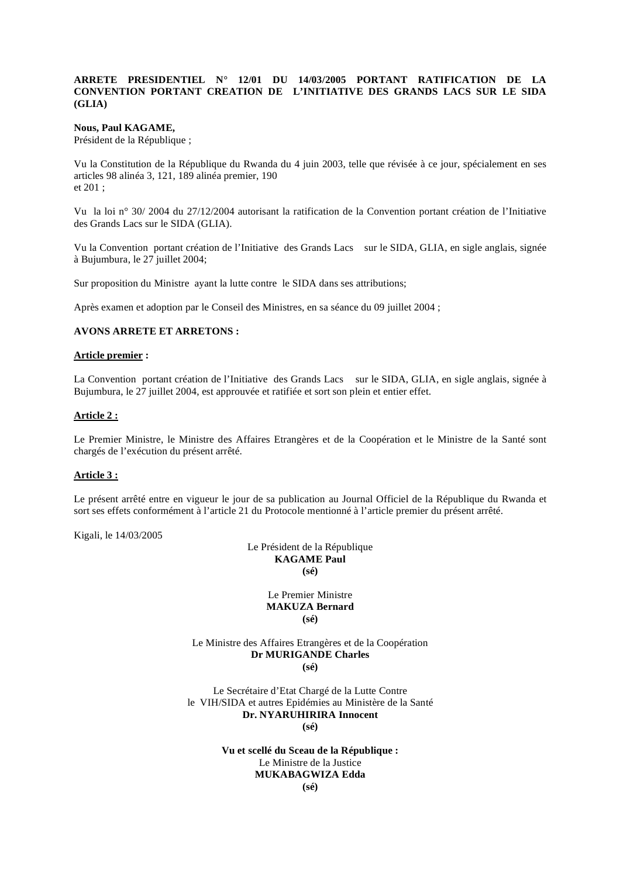#### **ARRETE PRESIDENTIEL N° 12/01 DU 14/03/2005 PORTANT RATIFICATION DE LA CONVENTION PORTANT CREATION DE L'INITIATIVE DES GRANDS LACS SUR LE SIDA (GLIA)**

#### **Nous, Paul KAGAME,**

Président de la République ;

Vu la Constitution de la République du Rwanda du 4 juin 2003, telle que révisée à ce jour, spécialement en ses articles 98 alinéa 3, 121, 189 alinéa premier, 190 et 201 ;

Vu la loi n° 30/ 2004 du 27/12/2004 autorisant la ratification de la Convention portant création de l'Initiative des Grands Lacs sur le SIDA (GLIA).

Vu la Convention portant création de l'Initiative des Grands Lacs sur le SIDA, GLIA, en sigle anglais, signée à Bujumbura, le 27 juillet 2004;

Sur proposition du Ministre ayant la lutte contre le SIDA dans ses attributions;

Après examen et adoption par le Conseil des Ministres, en sa séance du 09 juillet 2004 ;

#### **AVONS ARRETE ET ARRETONS :**

#### **Article premier :**

La Convention portant création de l'Initiative des Grands Lacs sur le SIDA, GLIA, en sigle anglais, signée à Bujumbura, le 27 juillet 2004, est approuvée et ratifiée et sort son plein et entier effet.

#### **Article 2 :**

Le Premier Ministre, le Ministre des Affaires Etrangères et de la Coopération et le Ministre de la Santé sont chargés de l'exécution du présent arrêté.

#### **Article 3 :**

Le présent arrêté entre en vigueur le jour de sa publication au Journal Officiel de la République du Rwanda et sort ses effets conformément à l'article 21 du Protocole mentionné à l'article premier du présent arrêté.

Kigali, le 14/03/2005

Le Président de la République **KAGAME Paul (sé)** 

> Le Premier Ministre **MAKUZA Bernard (sé)**

Le Ministre des Affaires Etrangères et de la Coopération **Dr MURIGANDE Charles (sé)** 

Le Secrétaire d'Etat Chargé de la Lutte Contre le VIH/SIDA et autres Epidémies au Ministère de la Santé **Dr. NYARUHIRIRA Innocent** 

**(sé)** 

**Vu et scellé du Sceau de la République :**  Le Ministre de la Justice **MUKABAGWIZA Edda** 

**(sé)**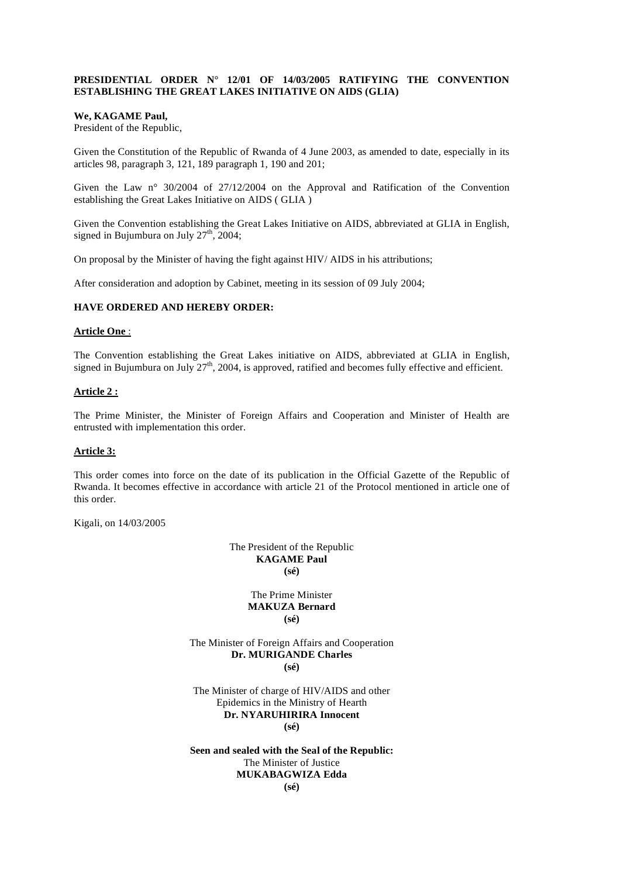## **PRESIDENTIAL ORDER N° 12/01 OF 14/03/2005 RATIFYING THE CONVENTION ESTABLISHING THE GREAT LAKES INITIATIVE ON AIDS (GLIA)**

#### **We, KAGAME Paul,**

President of the Republic,

Given the Constitution of the Republic of Rwanda of 4 June 2003, as amended to date, especially in its articles 98, paragraph 3, 121, 189 paragraph 1, 190 and 201;

Given the Law n° 30/2004 of 27/12/2004 on the Approval and Ratification of the Convention establishing the Great Lakes Initiative on AIDS ( GLIA )

Given the Convention establishing the Great Lakes Initiative on AIDS, abbreviated at GLIA in English, signed in Bujumbura on July  $27<sup>th</sup>$ , 2004;

On proposal by the Minister of having the fight against HIV/ AIDS in his attributions;

After consideration and adoption by Cabinet, meeting in its session of 09 July 2004;

#### **HAVE ORDERED AND HEREBY ORDER:**

#### **Article One** :

The Convention establishing the Great Lakes initiative on AIDS, abbreviated at GLIA in English, signed in Bujumbura on July  $27<sup>th</sup>$ , 2004, is approved, ratified and becomes fully effective and efficient.

#### **Article 2 :**

The Prime Minister, the Minister of Foreign Affairs and Cooperation and Minister of Health are entrusted with implementation this order.

## **Article 3:**

This order comes into force on the date of its publication in the Official Gazette of the Republic of Rwanda. It becomes effective in accordance with article 21 of the Protocol mentioned in article one of this order.

Kigali, on 14/03/2005

The President of the Republic **KAGAME Paul (sé)**

> The Prime Minister **MAKUZA Bernard (sé)**

The Minister of Foreign Affairs and Cooperation **Dr. MURIGANDE Charles (sé)**

The Minister of charge of HIV/AIDS and other Epidemics in the Ministry of Hearth **Dr. NYARUHIRIRA Innocent (sé)** 

**Seen and sealed with the Seal of the Republic:**  The Minister of Justice **MUKABAGWIZA Edda (sé)**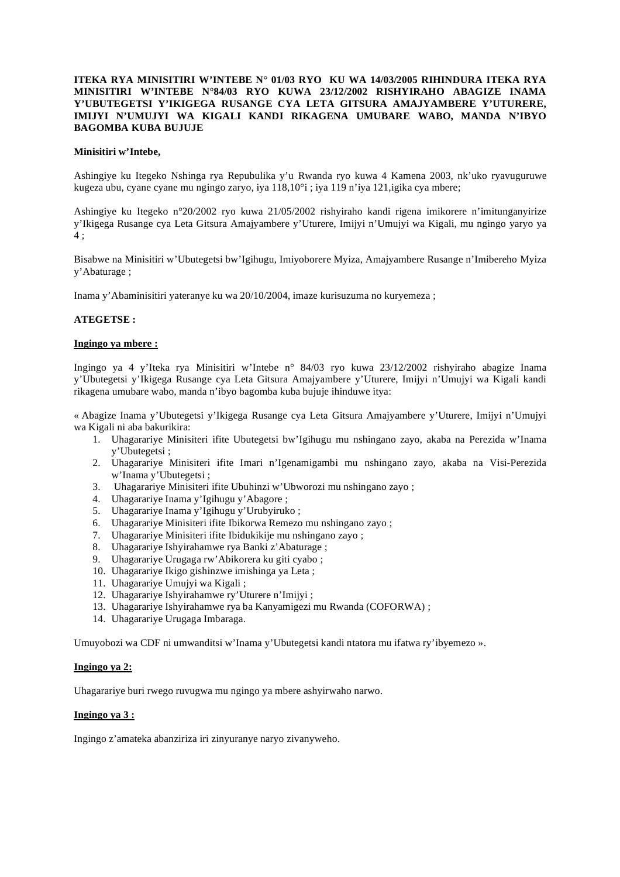## **ITEKA RYA MINISITIRI W'INTEBE N° 01/03 RYO KU WA 14/03/2005 RIHINDURA ITEKA RYA MINISITIRI W'INTEBE N°84/03 RYO KUWA 23/12/2002 RISHYIRAHO ABAGIZE INAMA Y'UBUTEGETSI Y'IKIGEGA RUSANGE CYA LETA GITSURA AMAJYAMBERE Y'UTURERE, IMIJYI N'UMUJYI WA KIGALI KANDI RIKAGENA UMUBARE WABO, MANDA N'IBYO BAGOMBA KUBA BUJUJE**

#### **Minisitiri w'Intebe,**

Ashingiye ku Itegeko Nshinga rya Repubulika y'u Rwanda ryo kuwa 4 Kamena 2003, nk'uko ryavuguruwe kugeza ubu, cyane cyane mu ngingo zaryo, iya 118,10°i ; iya 119 n'iya 121,igika cya mbere;

Ashingiye ku Itegeko n°20/2002 ryo kuwa 21/05/2002 rishyiraho kandi rigena imikorere n'imitunganyirize y'Ikigega Rusange cya Leta Gitsura Amajyambere y'Uturere, Imijyi n'Umujyi wa Kigali, mu ngingo yaryo ya 4 ;

Bisabwe na Minisitiri w'Ubutegetsi bw'Igihugu, Imiyoborere Myiza, Amajyambere Rusange n'Imibereho Myiza y'Abaturage ;

Inama y'Abaminisitiri yateranye ku wa 20/10/2004, imaze kurisuzuma no kuryemeza ;

## **ATEGETSE :**

#### **Ingingo ya mbere :**

Ingingo ya 4 y'Iteka rya Minisitiri w'Intebe n° 84/03 ryo kuwa 23/12/2002 rishyiraho abagize Inama y'Ubutegetsi y'Ikigega Rusange cya Leta Gitsura Amajyambere y'Uturere, Imijyi n'Umujyi wa Kigali kandi rikagena umubare wabo, manda n'ibyo bagomba kuba bujuje ihinduwe itya:

« Abagize Inama y'Ubutegetsi y'Ikigega Rusange cya Leta Gitsura Amajyambere y'Uturere, Imijyi n'Umujyi wa Kigali ni aba bakurikira:

- 1. Uhagarariye Minisiteri ifite Ubutegetsi bw'Igihugu mu nshingano zayo, akaba na Perezida w'Inama y'Ubutegetsi ;
- 2. Uhagarariye Minisiteri ifite Imari n'Igenamigambi mu nshingano zayo, akaba na Visi-Perezida w'Inama y'Ubutegetsi ;
- 3. Uhagarariye Minisiteri ifite Ubuhinzi w'Ubworozi mu nshingano zayo ;
- 4. Uhagarariye Inama y'Igihugu y'Abagore ;
- 5. Uhagarariye Inama y'Igihugu y'Urubyiruko ;
- 6. Uhagarariye Minisiteri ifite Ibikorwa Remezo mu nshingano zayo ;
- 7. Uhagarariye Minisiteri ifite Ibidukikije mu nshingano zayo ;
- 8. Uhagarariye Ishyirahamwe rya Banki z'Abaturage ;
- 9. Uhagarariye Urugaga rw'Abikorera ku giti cyabo ;
- 10. Uhagarariye Ikigo gishinzwe imishinga ya Leta ;
- 11. Uhagarariye Umujyi wa Kigali ;
- 12. Uhagarariye Ishyirahamwe ry'Uturere n'Imijyi ;
- 13. Uhagarariye Ishyirahamwe rya ba Kanyamigezi mu Rwanda (COFORWA) ;
- 14. Uhagarariye Urugaga Imbaraga.

Umuyobozi wa CDF ni umwanditsi w'Inama y'Ubutegetsi kandi ntatora mu ifatwa ry'ibyemezo ».

#### **Ingingo ya 2:**

Uhagarariye buri rwego ruvugwa mu ngingo ya mbere ashyirwaho narwo.

## **Ingingo ya 3 :**

Ingingo z'amateka abanziriza iri zinyuranye naryo zivanyweho.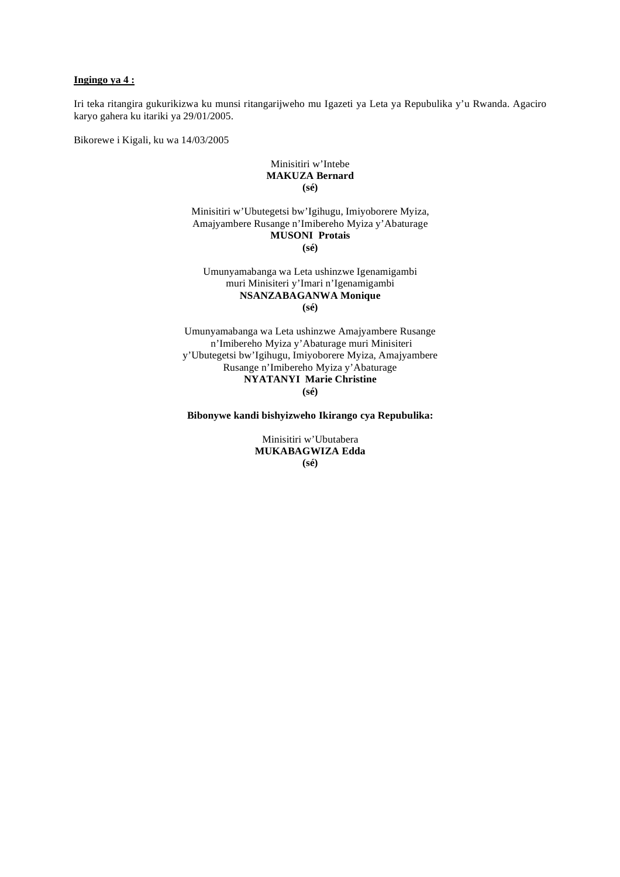#### **Ingingo ya 4 :**

Iri teka ritangira gukurikizwa ku munsi ritangarijweho mu Igazeti ya Leta ya Repubulika y'u Rwanda. Agaciro karyo gahera ku itariki ya 29/01/2005.

Bikorewe i Kigali, ku wa 14/03/2005

## Minisitiri w'Intebe **MAKUZA Bernard (sé)**

Minisitiri w'Ubutegetsi bw'Igihugu, Imiyoborere Myiza, Amajyambere Rusange n'Imibereho Myiza y'Abaturage **MUSONI Protais (sé)** 

Umunyamabanga wa Leta ushinzwe Igenamigambi muri Minisiteri y'Imari n'Igenamigambi **NSANZABAGANWA Monique (sé)**

Umunyamabanga wa Leta ushinzwe Amajyambere Rusange n'Imibereho Myiza y'Abaturage muri Minisiteri y'Ubutegetsi bw'Igihugu, Imiyoborere Myiza, Amajyambere Rusange n'Imibereho Myiza y'Abaturage **NYATANYI Marie Christine (sé)** 

**Bibonywe kandi bishyizweho Ikirango cya Repubulika:** 

Minisitiri w'Ubutabera **MUKABAGWIZA Edda (sé)**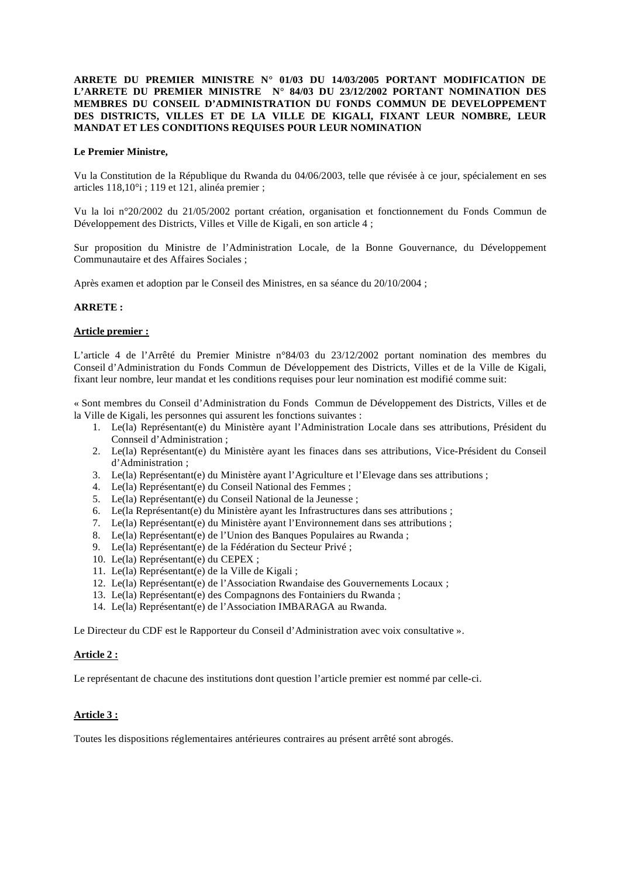## **ARRETE DU PREMIER MINISTRE N° 01/03 DU 14/03/2005 PORTANT MODIFICATION DE L'ARRETE DU PREMIER MINISTRE N° 84/03 DU 23/12/2002 PORTANT NOMINATION DES MEMBRES DU CONSEIL D'ADMINISTRATION DU FONDS COMMUN DE DEVELOPPEMENT DES DISTRICTS, VILLES ET DE LA VILLE DE KIGALI, FIXANT LEUR NOMBRE, LEUR MANDAT ET LES CONDITIONS REQUISES POUR LEUR NOMINATION**

#### **Le Premier Ministre,**

Vu la Constitution de la République du Rwanda du 04/06/2003, telle que révisée à ce jour, spécialement en ses articles 118,10°i ; 119 et 121, alinéa premier ;

Vu la loi n°20/2002 du 21/05/2002 portant création, organisation et fonctionnement du Fonds Commun de Développement des Districts, Villes et Ville de Kigali, en son article 4 ;

Sur proposition du Ministre de l'Administration Locale, de la Bonne Gouvernance, du Développement Communautaire et des Affaires Sociales ;

Après examen et adoption par le Conseil des Ministres, en sa séance du 20/10/2004 ;

#### **ARRETE :**

#### **Article premier :**

L'article 4 de l'Arrêté du Premier Ministre n°84/03 du 23/12/2002 portant nomination des membres du Conseil d'Administration du Fonds Commun de Développement des Districts, Villes et de la Ville de Kigali, fixant leur nombre, leur mandat et les conditions requises pour leur nomination est modifié comme suit:

« Sont membres du Conseil d'Administration du Fonds Commun de Développement des Districts, Villes et de la Ville de Kigali, les personnes qui assurent les fonctions suivantes :

- 1. Le(la) Représentant(e) du Ministère ayant l'Administration Locale dans ses attributions, Président du Connseil d'Administration ;
- 2. Le(la) Représentant(e) du Ministère ayant les finaces dans ses attributions, Vice-Président du Conseil d'Administration ;
- 3. Le(la) Représentant(e) du Ministère ayant l'Agriculture et l'Elevage dans ses attributions ;
- 4. Le(la) Représentant(e) du Conseil National des Femmes ;
- 5. Le(la) Représentant(e) du Conseil National de la Jeunesse ;
- 6. Le(la Représentant(e) du Ministère ayant les Infrastructures dans ses attributions ;
- 7. Le(la) Représentant(e) du Ministère ayant l'Environnement dans ses attributions ;
- 8. Le(la) Représentant(e) de l'Union des Banques Populaires au Rwanda ;
- 9. Le(la) Représentant(e) de la Fédération du Secteur Privé ;
- 10. Le(la) Représentant(e) du CEPEX ;
- 11. Le(la) Représentant(e) de la Ville de Kigali ;
- 12. Le(la) Représentant(e) de l'Association Rwandaise des Gouvernements Locaux ;
- 13. Le(la) Représentant(e) des Compagnons des Fontainiers du Rwanda ;
- 14. Le(la) Représentant(e) de l'Association IMBARAGA au Rwanda.

Le Directeur du CDF est le Rapporteur du Conseil d'Administration avec voix consultative ».

#### **Article 2 :**

Le représentant de chacune des institutions dont question l'article premier est nommé par celle-ci.

#### **Article 3 :**

Toutes les dispositions réglementaires antérieures contraires au présent arrêté sont abrogés.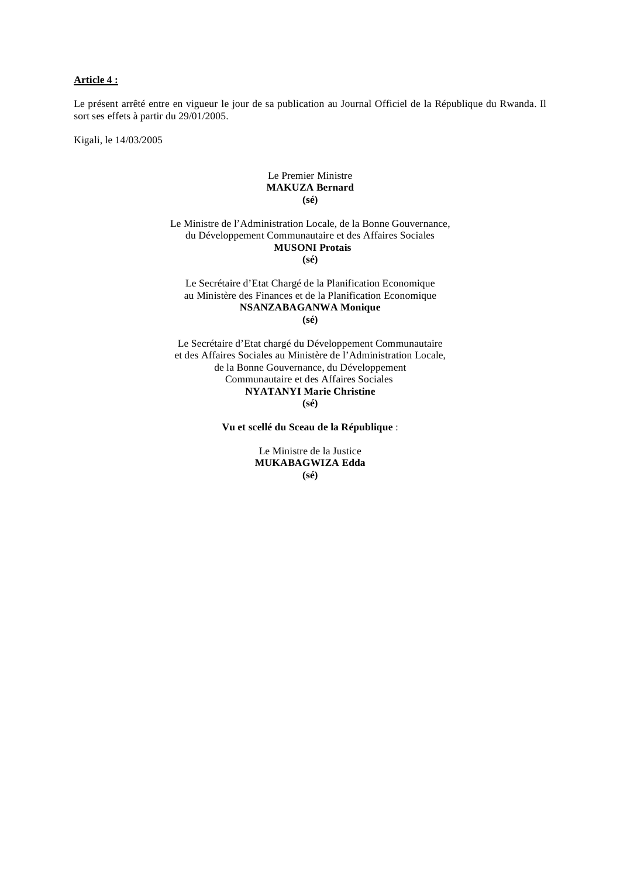#### **Article 4 :**

Le présent arrêté entre en vigueur le jour de sa publication au Journal Officiel de la République du Rwanda. Il sort ses effets à partir du 29/01/2005.

Kigali, le 14/03/2005

#### Le Premier Ministre **MAKUZA Bernard (sé)**

Le Ministre de l'Administration Locale, de la Bonne Gouvernance, du Développement Communautaire et des Affaires Sociales  **MUSONI Protais (sé)** 

#### Le Secrétaire d'Etat Chargé de la Planification Economique au Ministère des Finances et de la Planification Economique **NSANZABAGANWA Monique (sé)**

Le Secrétaire d'Etat chargé du Développement Communautaire et des Affaires Sociales au Ministère de l'Administration Locale, de la Bonne Gouvernance, du Développement Communautaire et des Affaires Sociales **NYATANYI Marie Christine (sé)** 

**Vu et scellé du Sceau de la République** :

Le Ministre de la Justice **MUKABAGWIZA Edda (sé)**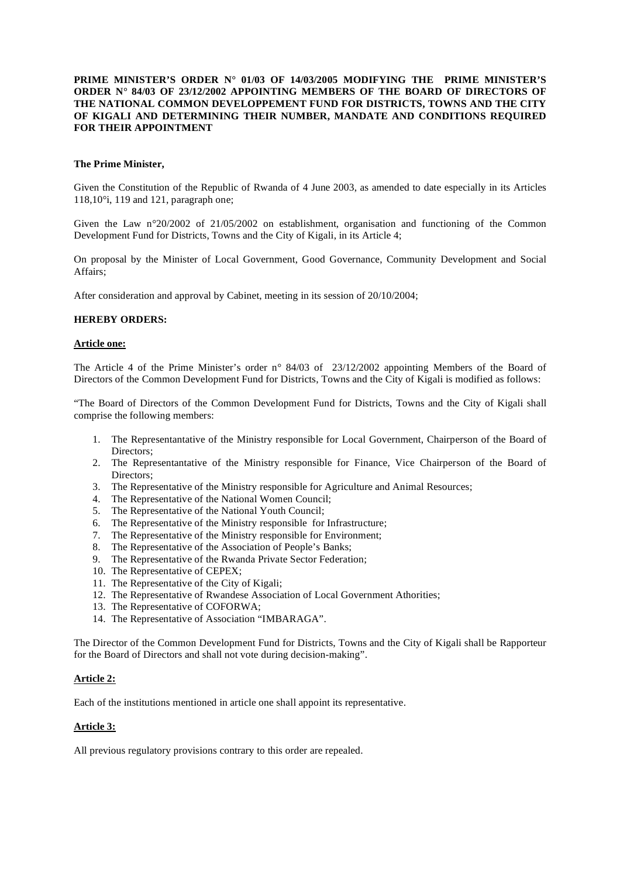## **PRIME MINISTER'S ORDER N° 01/03 OF 14/03/2005 MODIFYING THE PRIME MINISTER'S ORDER N° 84/03 OF 23/12/2002 APPOINTING MEMBERS OF THE BOARD OF DIRECTORS OF THE NATIONAL COMMON DEVELOPPEMENT FUND FOR DISTRICTS, TOWNS AND THE CITY OF KIGALI AND DETERMINING THEIR NUMBER, MANDATE AND CONDITIONS REQUIRED FOR THEIR APPOINTMENT**

#### **The Prime Minister,**

Given the Constitution of the Republic of Rwanda of 4 June 2003, as amended to date especially in its Articles 118,10°i, 119 and 121, paragraph one;

Given the Law n°20/2002 of 21/05/2002 on establishment, organisation and functioning of the Common Development Fund for Districts, Towns and the City of Kigali, in its Article 4;

On proposal by the Minister of Local Government, Good Governance, Community Development and Social Affairs;

After consideration and approval by Cabinet, meeting in its session of 20/10/2004;

#### **HEREBY ORDERS:**

#### **Article one:**

The Article 4 of the Prime Minister's order n° 84/03 of 23/12/2002 appointing Members of the Board of Directors of the Common Development Fund for Districts, Towns and the City of Kigali is modified as follows:

"The Board of Directors of the Common Development Fund for Districts, Towns and the City of Kigali shall comprise the following members:

- 1. The Representantative of the Ministry responsible for Local Government, Chairperson of the Board of Directors;
- 2. The Representantative of the Ministry responsible for Finance, Vice Chairperson of the Board of Directors;
- 3. The Representative of the Ministry responsible for Agriculture and Animal Resources;
- 4. The Representative of the National Women Council;
- 5. The Representative of the National Youth Council;
- 6. The Representative of the Ministry responsible for Infrastructure;
- 7. The Representative of the Ministry responsible for Environment;
- 8. The Representative of the Association of People's Banks;
- 9. The Representative of the Rwanda Private Sector Federation;
- 10. The Representative of CEPEX;
- 11. The Representative of the City of Kigali;
- 12. The Representative of Rwandese Association of Local Government Athorities;
- 13. The Representative of COFORWA;
- 14. The Representative of Association "IMBARAGA".

The Director of the Common Development Fund for Districts, Towns and the City of Kigali shall be Rapporteur for the Board of Directors and shall not vote during decision-making".

#### **Article 2:**

Each of the institutions mentioned in article one shall appoint its representative.

#### **Article 3:**

All previous regulatory provisions contrary to this order are repealed.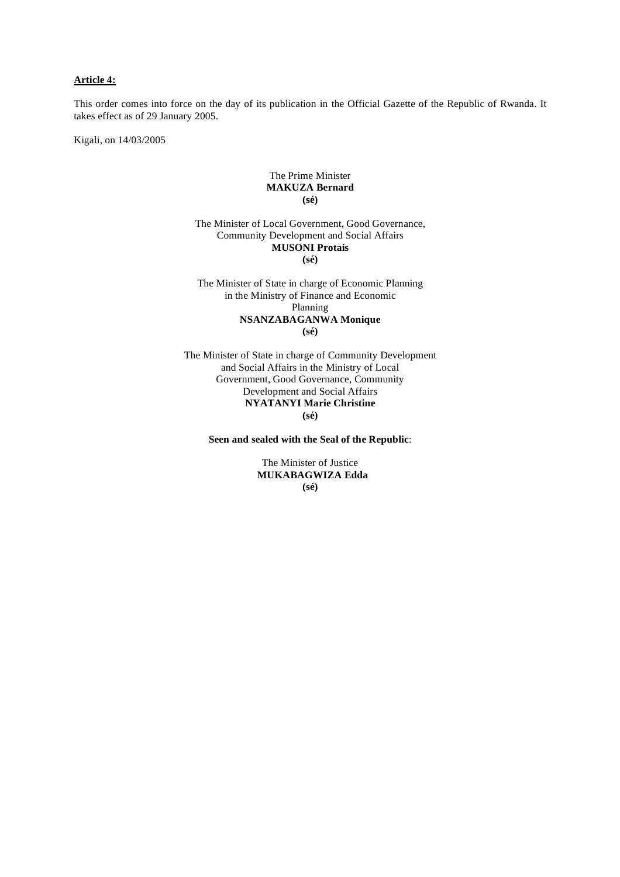## **Article 4:**

This order comes into force on the day of its publication in the Official Gazette of the Republic of Rwanda. It takes effect as of 29 January 2005.

Kigali, on 14/03/2005

#### The Prime Minister **MAKUZA Bernard (sé)**

The Minister of Local Government, Good Governance, Community Development and Social Affairs **MUSONI Protais (sé)** 

The Minister of State in charge of Economic Planning in the Ministry of Finance and Economic Planning **NSANZABAGANWA Monique (sé)** 

The Minister of State in charge of Community Development and Social Affairs in the Ministry of Local Government, Good Governance, Community Development and Social Affairs **NYATANYI Marie Christine (sé)** 

**Seen and sealed with the Seal of the Republic**:

The Minister of Justice  **MUKABAGWIZA Edda (sé)**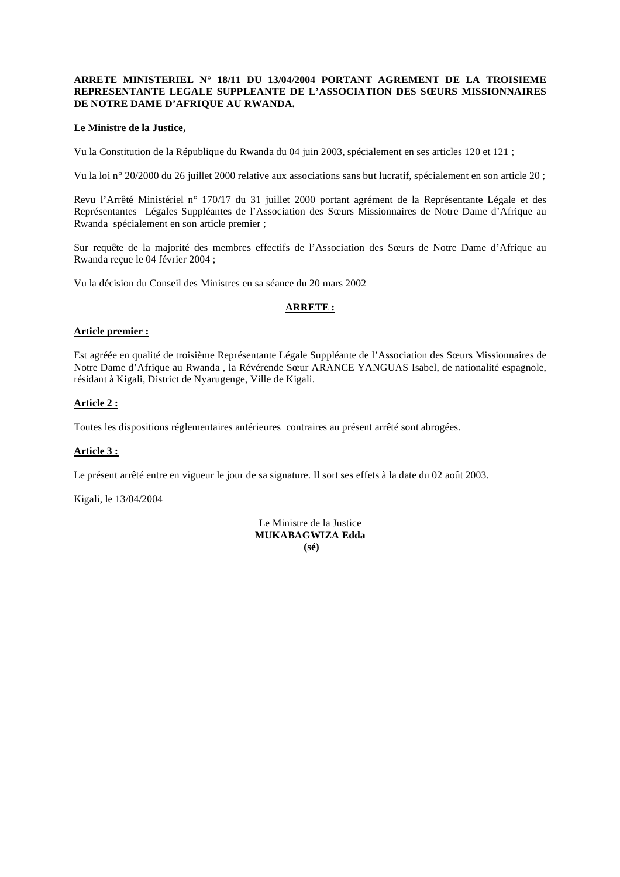#### **ARRETE MINISTERIEL N° 18/11 DU 13/04/2004 PORTANT AGREMENT DE LA TROISIEME REPRESENTANTE LEGALE SUPPLEANTE DE L'ASSOCIATION DES SŒURS MISSIONNAIRES DE NOTRE DAME D'AFRIQUE AU RWANDA.**

#### **Le Ministre de la Justice,**

Vu la Constitution de la République du Rwanda du 04 juin 2003, spécialement en ses articles 120 et 121 ;

Vu la loi n° 20/2000 du 26 juillet 2000 relative aux associations sans but lucratif, spécialement en son article 20 ;

Revu l'Arrêté Ministériel n° 170/17 du 31 juillet 2000 portant agrément de la Représentante Légale et des Représentantes Légales Suppléantes de l'Association des Sœurs Missionnaires de Notre Dame d'Afrique au Rwanda spécialement en son article premier ;

Sur requête de la majorité des membres effectifs de l'Association des Sœurs de Notre Dame d'Afrique au Rwanda reçue le 04 février 2004 ;

Vu la décision du Conseil des Ministres en sa séance du 20 mars 2002

#### **ARRETE :**

#### **Article premier :**

Est agréée en qualité de troisième Représentante Légale Suppléante de l'Association des Sœurs Missionnaires de Notre Dame d'Afrique au Rwanda , la Révérende Sœur ARANCE YANGUAS Isabel, de nationalité espagnole, résidant à Kigali, District de Nyarugenge, Ville de Kigali.

#### **Article 2 :**

Toutes les dispositions réglementaires antérieures contraires au présent arrêté sont abrogées.

## **Article 3 :**

Le présent arrêté entre en vigueur le jour de sa signature. Il sort ses effets à la date du 02 août 2003.

Kigali, le 13/04/2004

Le Ministre de la Justice **MUKABAGWIZA Edda (sé)**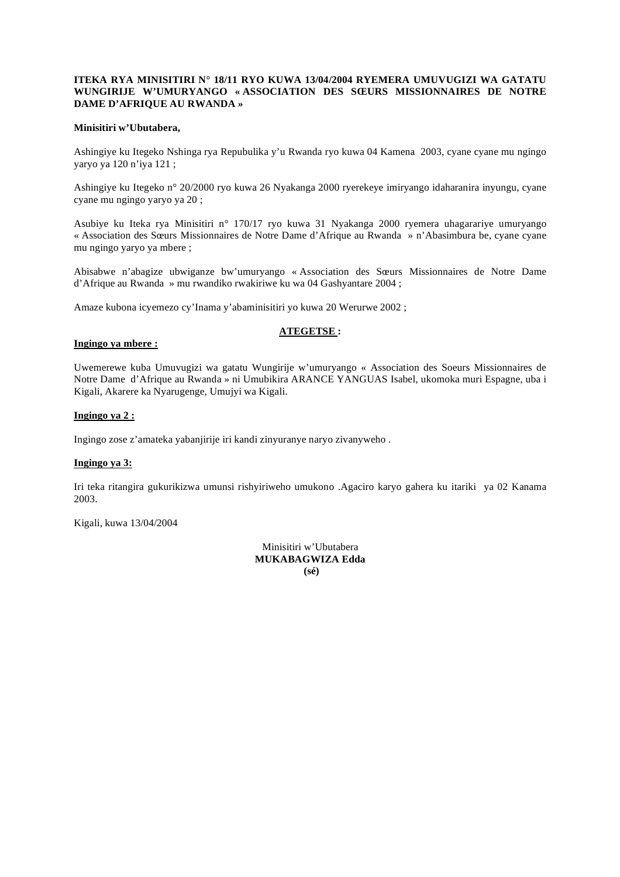#### **ITEKA RYA MINISITIRI N° 18/11 RYO KUWA 13/04/2004 RYEMERA UMUVUGIZI WA GATATU WUNGIRIJE W'UMURYANGO « ASSOCIATION DES SŒURS MISSIONNAIRES DE NOTRE DAME D'AFRIQUE AU RWANDA »**

#### **Minisitiri w'Ubutabera,**

Ashingiye ku Itegeko Nshinga rya Repubulika y'u Rwanda ryo kuwa 04 Kamena 2003, cyane cyane mu ngingo yaryo ya 120 n'iya 121 ;

Ashingiye ku Itegeko n° 20/2000 ryo kuwa 26 Nyakanga 2000 ryerekeye imiryango idaharanira inyungu, cyane cyane mu ngingo yaryo ya 20 ;

Asubiye ku Iteka rya Minisitiri n° 170/17 ryo kuwa 31 Nyakanga 2000 ryemera uhagarariye umuryango « Association des Sœurs Missionnaires de Notre Dame d'Afrique au Rwanda » n'Abasimbura be, cyane cyane mu ngingo yaryo ya mbere ;

Abisabwe n'abagize ubwiganze bw'umuryango « Association des Sœurs Missionnaires de Notre Dame d'Afrique au Rwanda » mu rwandiko rwakiriwe ku wa 04 Gashyantare 2004 ;

Amaze kubona icyemezo cy'Inama y'abaminisitiri yo kuwa 20 Werurwe 2002 ;

## **ATEGETSE :**

#### **Ingingo ya mbere :**

Uwemerewe kuba Umuvugizi wa gatatu Wungirije w'umuryango « Association des Soeurs Missionnaires de Notre Dame d'Afrique au Rwanda » ni Umubikira ARANCE YANGUAS Isabel, ukomoka muri Espagne, uba i Kigali, Akarere ka Nyarugenge, Umujyi wa Kigali.

#### **Ingingo ya 2 :**

Ingingo zose z'amateka yabanjirije iri kandi zinyuranye naryo zivanyweho .

#### **Ingingo ya 3:**

Iri teka ritangira gukurikizwa umunsi rishyiriweho umukono .Agaciro karyo gahera ku itariki ya 02 Kanama 2003.

Kigali, kuwa 13/04/2004

Minisitiri w'Ubutabera **MUKABAGWIZA Edda (sé)**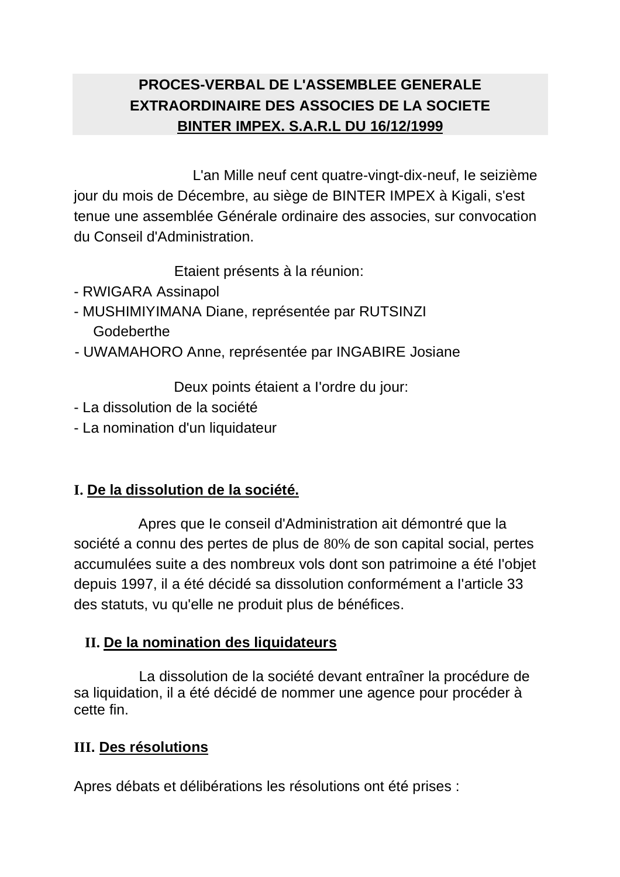# **PROCES-VERBAL DE L'ASSEMBLEE GENERALE EXTRAORDINAIRE DES ASSOCIES DE LA SOCIETE BINTER IMPEX. S.A.R.L DU 16/12/1999**

L'an Mille neuf cent quatre-vingt-dix-neuf, Ie seizième jour du mois de Décembre, au siège de BINTER IMPEX à Kigali, s'est tenue une assemblée Générale ordinaire des associes, sur convocation du Conseil d'Administration.

Etaient présents à la réunion:

- RWIGARA Assinapol
- MUSHIMIYIMANA Diane, représentée par RUTSINZI **Godeberthe**
- UWAMAHORO Anne, représentée par INGABIRE Josiane

Deux points étaient a I'ordre du jour:

- La dissolution de la société
- La nomination d'un liquidateur

# **I. De la dissolution de la société.**

Apres que Ie conseil d'Administration ait démontré que la société a connu des pertes de plus de 80% de son capital social, pertes accumulées suite a des nombreux vols dont son patrimoine a été I'objet depuis 1997, il a été décidé sa dissolution conformément a I'article 33 des statuts, vu qu'elle ne produit plus de bénéfices.

# **II. De la nomination des liquidateurs**

 La dissolution de la société devant entraîner la procédure de sa liquidation, il a été décidé de nommer une agence pour procéder à cette fin.

# **III. Des résolutions**

Apres débats et délibérations les résolutions ont été prises :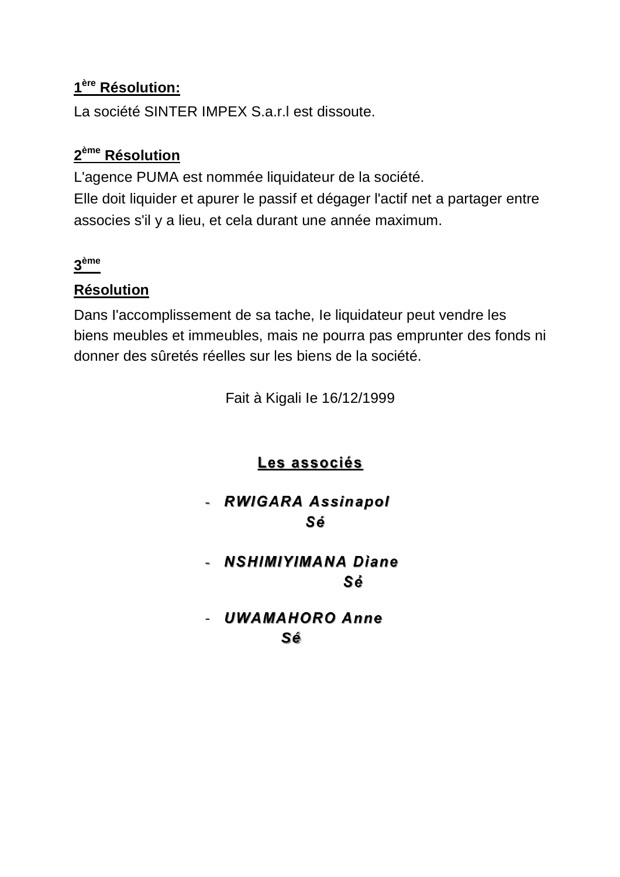# **1ère Résolution:**

La société SINTER IMPEX S.a.r.l est dissoute.

# **2ème Résolution**

L'agence PUMA est nommée liquidateur de la société. Elle doit liquider et apurer le passif et dégager l'actif net a partager entre associes s'il y a lieu, et cela durant une année maximum.

# **3ème**

# **Résolution**

Dans I'accomplissement de sa tache, Ie liquidateur peut vendre les biens meubles et immeubles, mais ne pourra pas emprunter des fonds ni donner des sûretés réelles sur les biens de la société.

Fait à Kigali Ie 16/12/1999

# **Les associés**

# - *RWIGARA Assinapol Sé*

- *NSHIMIYIMANA Diane Sé* 

- *UWAMAHORO Anne*  **Sé** Service de la Sérvice de la Sérvice de la Sérvice de la Sérvice de la Sérvice de la Sérvice de la Sérvice de la Sérvice de la Sérvice de la Sérvice de la Sérvice de la Sérvice de la Sérvice de la Sérvice de la Sérvice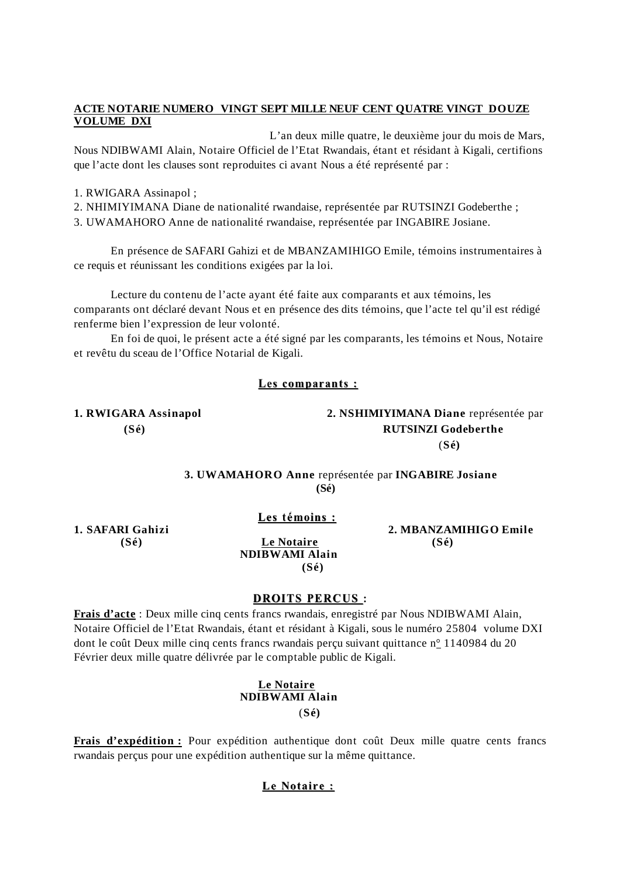## **ACTE NOTARIE NUMERO VINGT SEPT MILLE NEUF CENT QUATRE VINGT DOUZE VOLUME DXI**

 L'an deux mille quatre, le deuxième jour du mois de Mars, Nous NDIBWAMI Alain, Notaire Officiel de l'Etat Rwandais, étant et résidant à Kigali, certifions que l'acte dont les clauses sont reproduites ci avant Nous a été représenté par :

1. RWIGARA Assinapol ;

2. NHIMIYIMANA Diane de nationalité rwandaise, représentée par RUTSINZI Godeberthe ;

3. UWAMAHORO Anne de nationalité rwandaise, représentée par INGABIRE Josiane.

 En présence de SAFARI Gahizi et de MBANZAMIHIGO Emile, témoins instrumentaires à ce requis et réunissant les conditions exigées par la loi.

 Lecture du contenu de l'acte ayant été faite aux comparants et aux témoins, les comparants ont déclaré devant Nous et en présence des dits témoins, que l'acte tel qu'il est rédigé renferme bien l'expression de leur volonté.

 En foi de quoi, le présent acte a été signé par les comparants, les témoins et Nous, Notaire et revêtu du sceau de l'Office Notarial de Kigali.

## **Les comparants :**

**1. RWIGARA Assinapol 2. NSHIMIYIMANA Diane** représentée par  **(Sé) RUTSINZI Godeberthe** (**Sé)**

> **3. UWAMAHORO Anne** représentée par **INGABIRE Josiane (Sé)**

> > **Les témoins :**

 **(Sé) Le Notaire (Sé) NDIBWAMI Alain (Sé)** 

**1. SAFARI Gahizi 2. MBANZAMIHIGO Emile** 

## **DROITS PERCUS :**

**Frais d'acte** : Deux mille cinq cents francs rwandais, enregistré par Nous NDIBWAMI Alain, Notaire Officiel de l'Etat Rwandais, étant et résidant à Kigali, sous le numéro 25804 volume DXI dont le coût Deux mille cinq cents francs rwandais perçu suivant quittance n° 1140984 du 20 Février deux mille quatre délivrée par le comptable public de Kigali.

## **Le Notaire NDIBWAMI Alain**  (**Sé)**

**Frais d'expédition :** Pour expédition authentique dont coût Deux mille quatre cents francs rwandais perçus pour une expédition authentique sur la même quittance.

## **Le Notaire :**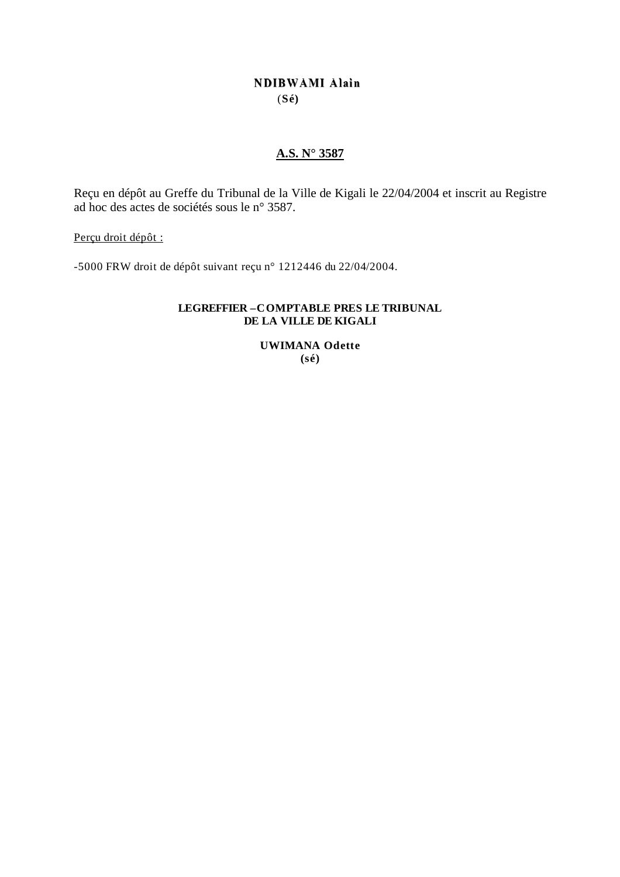# **NDIBWAMI Alain** (**Sé)**

## **A.S. N° 3587**

Reçu en dépôt au Greffe du Tribunal de la Ville de Kigali le 22/04/2004 et inscrit au Registre ad hoc des actes de sociétés sous le n° 3587.

Perçu droit dépôt :

-5000 FRW droit de dépôt suivant reçu n° 1212446 du 22/04/2004.

## **LEGREFFIER –COMPTABLE PRES LE TRIBUNAL DE LA VILLE DE KIGALI**

**UWIMANA Odette (sé)**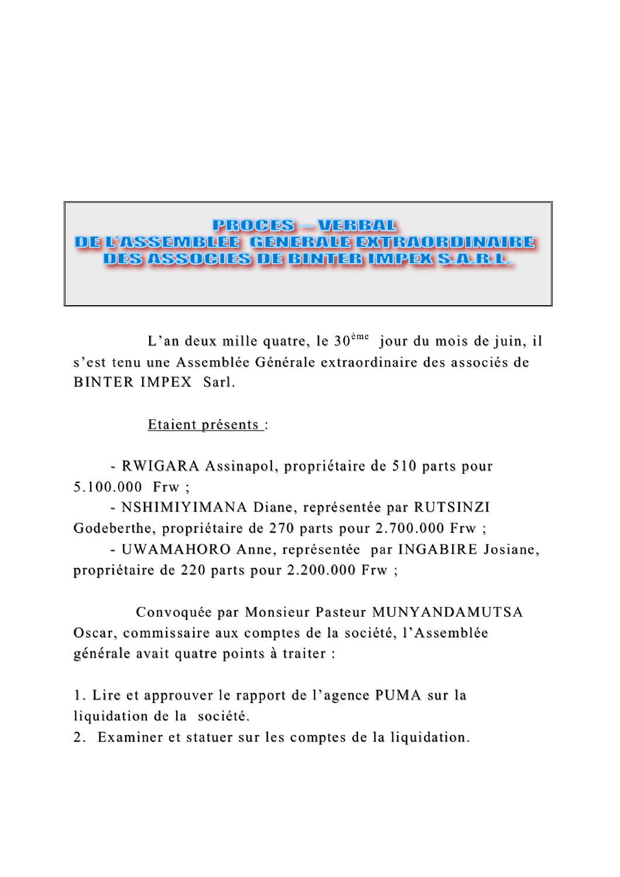# PROGES VERBAL DE L'ASSEMBLEE GENERALE EXTRAORDINAIRE DES ASSOCIES DE BINTER IMPEX S.A.R.L.

L'an deux mille quatre, le 30ème jour du mois de juin, il s'est tenu une Assemblée Générale extraordinaire des associés de BINTER IMPEX Sarl.

Etaient présents :

- RWIGARA Assinapol, propriétaire de 510 parts pour 5.100.000 Frw ;

- NSHIMIYIMANA Diane, représentée par RUTSINZI Godeberthe, propriétaire de 270 parts pour 2.700.000 Frw ;

- UWAMAHORO Anne, représentée par INGABIRE Josiane, propriétaire de 220 parts pour 2.200.000 Frw ;

 Convoquée par Monsieur Pasteur MUNYANDAMUTSA Oscar, commissaire aux comptes de la société, l'Assemblée générale avait quatre points à traiter :

1. Lire et approuver le rapport de l'agence PUMA sur la liquidation de la société.

2. Examiner et statuer sur les comptes de la liquidation.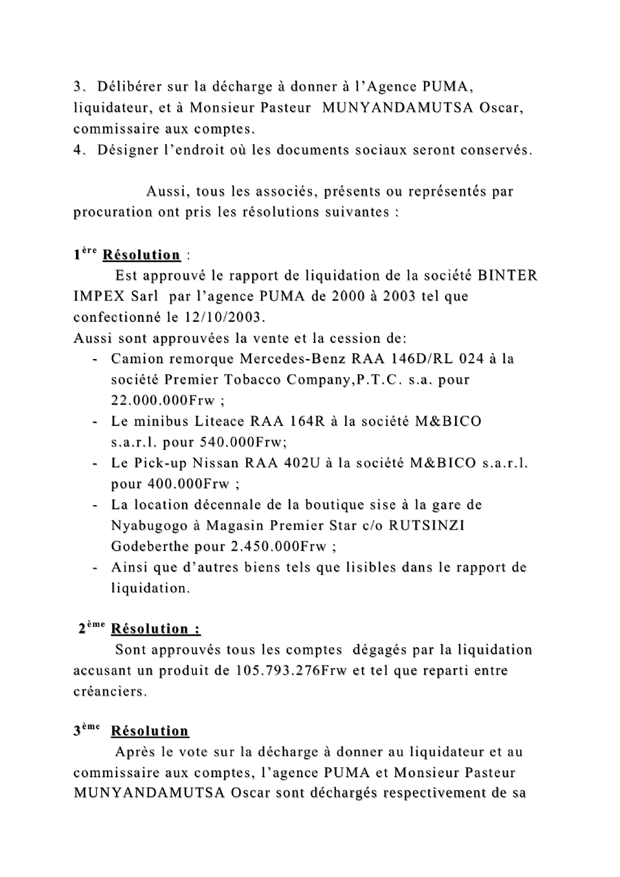3. Délibérer sur la décharge à donner à l'Agence PUMA, liquidateur, et à Monsieur Pasteur MUNYANDAMUTSA Oscar, commissaire aux comptes.

4. Désigner l'endroit où les documents sociaux seront conservés.

 Aussi, tous les associés, présents ou représentés par procuration ont pris les résolutions suivantes :

# **1ère Résolution** :

 Est approuvé le rapport de liquidation de la société BINTER IMPEX Sarl par l'agence PUMA de 2000 à 2003 tel que confectionné le 12/10/2003.

Aussi sont approuvées la vente et la cession de:

- Camion remorque Mercedes-Benz RAA 146D/RL 024 à la société Premier Tobacco Company,P.T.C. s.a. pour 22.000.000Frw ;
- Le minibus Liteace RAA 164R à la société M&BICO s.a.r.l. pour 540.000Frw;
- Le Pick-up Nissan RAA 402U à la société M&BICO s.a.r.l. pour 400.000Frw ;
- La location décennale de la boutique sise à la gare de Nyabugogo à Magasin Premier Star c/o RUTSINZI Godeberthe pour 2.450.000Frw ;
- Ainsi que d'autres biens tels que lisibles dans le rapport de liquidation.

# **2ème Résolution :**

 Sont approuvés tous les comptes dégagés par la liquidation accusant un produit de 105.793.276Frw et tel que reparti entre créanciers.

# **3ème Résolution**

 Après le vote sur la décharge à donner au liquidateur et au commissaire aux comptes, l'agence PUMA et Monsieur Pasteur MUNYANDAMUTSA Oscar sont déchargés respectivement de sa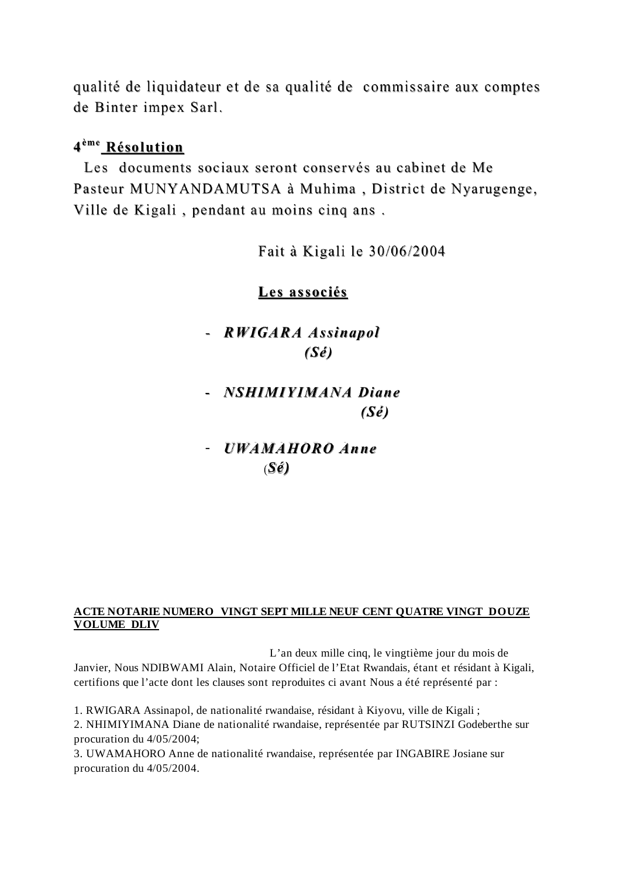qualité de liquidateur et de sa qualité de commissaire aux comptes de Binter impex Sarl.

# **4ème Résolution**

 Les documents sociaux seront conservés au cabinet de Me Pasteur MUNYANDAMUTSA à Muhima , District de Nyarugenge, Ville de Kigali , pendant au moins cinq ans .

Fait à Kigali le 30/06/2004

# **Les associés**

# - *RWIGARA Assinapol (Sé)*

# - *NSHIMIYIMANA Diane (Sé)*

# - *UWAMAHORO Anne*  (*Sé)*

# **ACTE NOTARIE NUMERO VINGT SEPT MILLE NEUF CENT QUATRE VINGT DOUZE VOLUME DLIV**

 L'an deux mille cinq, le vingtième jour du mois de Janvier, Nous NDIBWAMI Alain, Notaire Officiel de l'Etat Rwandais, étant et résidant à Kigali, certifions que l'acte dont les clauses sont reproduites ci avant Nous a été représenté par :

1. RWIGARA Assinapol, de nationalité rwandaise, résidant à Kiyovu, ville de Kigali ;

2. NHIMIYIMANA Diane de nationalité rwandaise, représentée par RUTSINZI Godeberthe sur procuration du 4/05/2004;

3. UWAMAHORO Anne de nationalité rwandaise, représentée par INGABIRE Josiane sur procuration du 4/05/2004.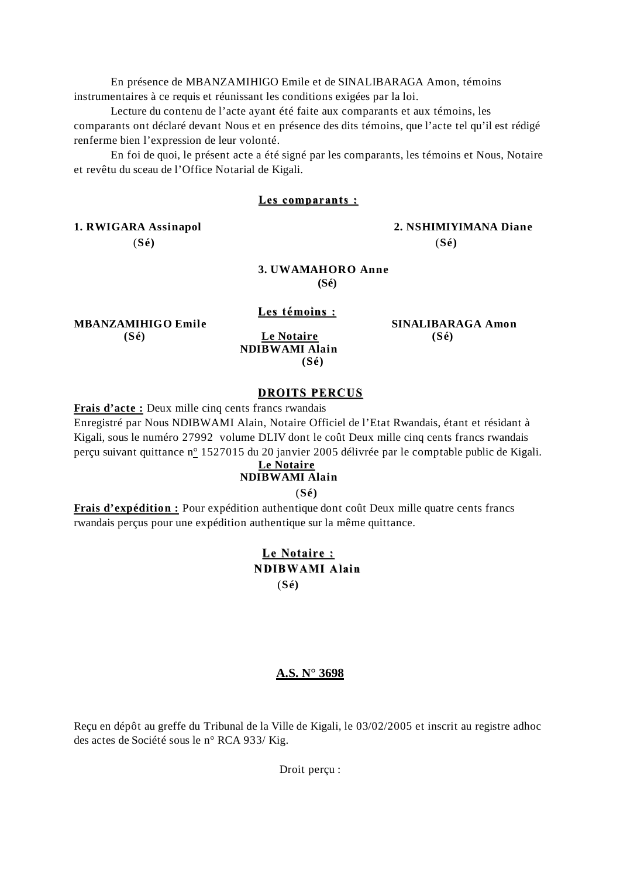En présence de MBANZAMIHIGO Emile et de SINALIBARAGA Amon, témoins instrumentaires à ce requis et réunissant les conditions exigées par la loi.

 Lecture du contenu de l'acte ayant été faite aux comparants et aux témoins, les comparants ont déclaré devant Nous et en présence des dits témoins, que l'acte tel qu'il est rédigé renferme bien l'expression de leur volonté.

 En foi de quoi, le présent acte a été signé par les comparants, les témoins et Nous, Notaire et revêtu du sceau de l'Office Notarial de Kigali.

## **Les comparants :**

(**Sé)** (**Sé)**

# **1. RWIGARA Assinapol 2. NSHIMIYIMANA Diane**

## **3. UWAMAHORO Anne (Sé)**

**MBANZAMIHIGO Emile** SINALIBARAGA Amon

 **(Sé) Le Notaire (Sé) NDIBWAMI Alain (Sé)** 

 **Les témoins :**

## **DROITS PERCUS**

**Frais d'acte :** Deux mille cinq cents francs rwandais

Enregistré par Nous NDIBWAMI Alain, Notaire Officiel de l'Etat Rwandais, étant et résidant à Kigali, sous le numéro 27992 volume DLIV dont le coût Deux mille cinq cents francs rwandais perçu suivant quittance n° 1527015 du 20 janvier 2005 délivrée par le comptable public de Kigali.

# **Le Notaire**

## **NDIBWAMI Alain**

(**Sé)** 

**Frais d'expédition :** Pour expédition authentique dont coût Deux mille quatre cents francs rwandais perçus pour une expédition authentique sur la même quittance.

# **Le Notaire : NDIBWAMI Alain** (**Sé)**

## **A.S. N° 3698**

Reçu en dépôt au greffe du Tribunal de la Ville de Kigali, le 03/02/2005 et inscrit au registre adhoc des actes de Société sous le n° RCA 933/ Kig.

Droit perçu :